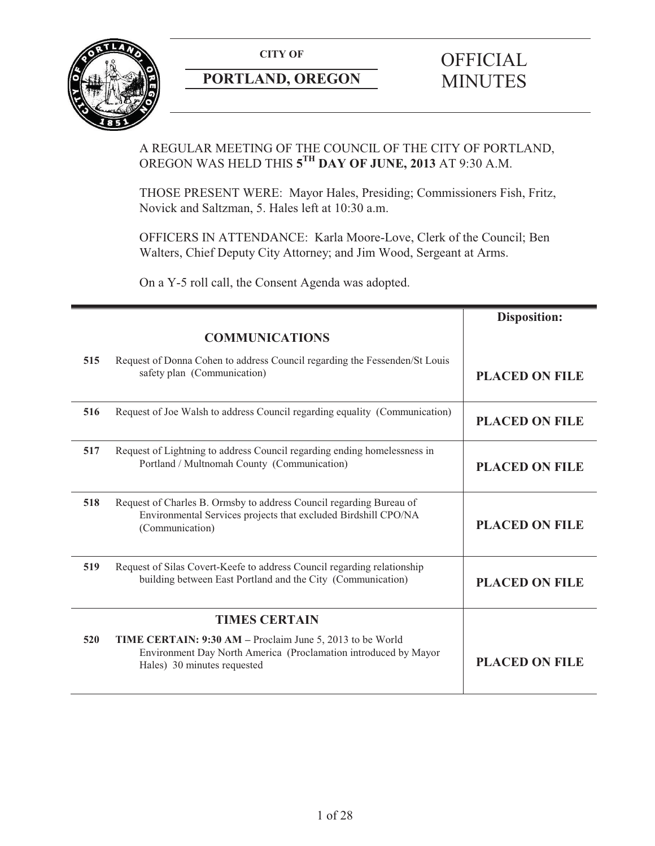

## **PORTLAND, OREGON MINUTES**

# **CITY OF** OFFICIAL

#### A REGULAR MEETING OF THE COUNCIL OF THE CITY OF PORTLAND, OREGON WAS HELD THIS **5TH DAY OF JUNE, 2013** AT 9:30 A.M.

THOSE PRESENT WERE: Mayor Hales, Presiding; Commissioners Fish, Fritz, Novick and Saltzman, 5. Hales left at 10:30 a.m.

OFFICERS IN ATTENDANCE: Karla Moore-Love, Clerk of the Council; Ben Walters, Chief Deputy City Attorney; and Jim Wood, Sergeant at Arms.

On a Y-5 roll call, the Consent Agenda was adopted.

|     |                                                                                                                                                             | <b>Disposition:</b>   |
|-----|-------------------------------------------------------------------------------------------------------------------------------------------------------------|-----------------------|
|     | <b>COMMUNICATIONS</b>                                                                                                                                       |                       |
| 515 | Request of Donna Cohen to address Council regarding the Fessenden/St Louis<br>safety plan (Communication)                                                   | <b>PLACED ON FILE</b> |
| 516 | Request of Joe Walsh to address Council regarding equality (Communication)                                                                                  | <b>PLACED ON FILE</b> |
| 517 | Request of Lightning to address Council regarding ending homelessness in<br>Portland / Multnomah County (Communication)                                     | <b>PLACED ON FILE</b> |
| 518 | Request of Charles B. Ormsby to address Council regarding Bureau of<br>Environmental Services projects that excluded Birdshill CPO/NA<br>(Communication)    | <b>PLACED ON FILE</b> |
| 519 | Request of Silas Covert-Keefe to address Council regarding relationship<br>building between East Portland and the City (Communication)                      | <b>PLACED ON FILE</b> |
|     | <b>TIMES CERTAIN</b>                                                                                                                                        |                       |
| 520 | TIME CERTAIN: 9:30 AM – Proclaim June 5, 2013 to be World<br>Environment Day North America (Proclamation introduced by Mayor<br>Hales) 30 minutes requested | <b>PLACED ON FILE</b> |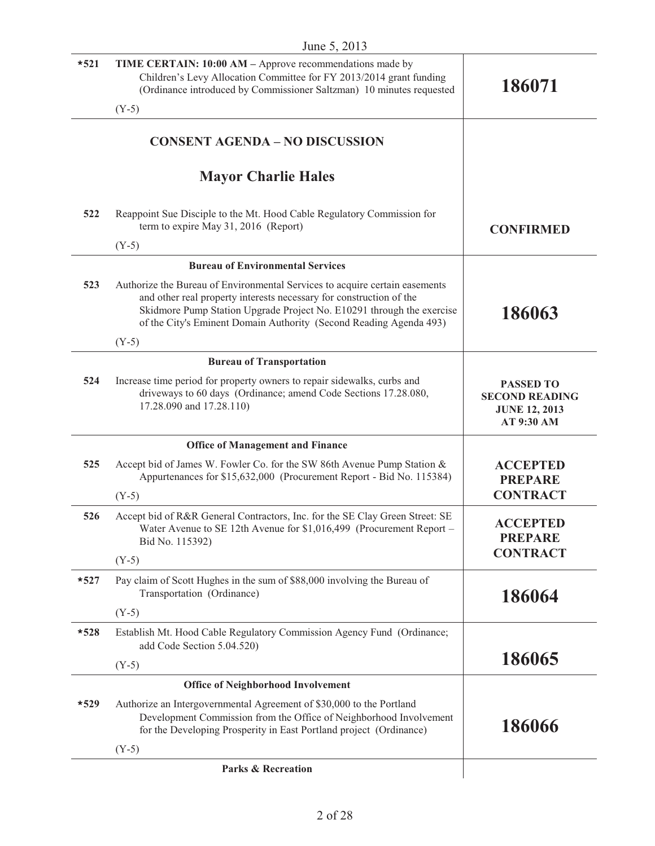| $*521$ | TIME CERTAIN: 10:00 AM - Approve recommendations made by<br>Children's Levy Allocation Committee for FY 2013/2014 grant funding<br>(Ordinance introduced by Commissioner Saltzman) 10 minutes requested                                                                                           | 186071                                                                          |
|--------|---------------------------------------------------------------------------------------------------------------------------------------------------------------------------------------------------------------------------------------------------------------------------------------------------|---------------------------------------------------------------------------------|
|        | $(Y-5)$                                                                                                                                                                                                                                                                                           |                                                                                 |
|        | <b>CONSENT AGENDA - NO DISCUSSION</b>                                                                                                                                                                                                                                                             |                                                                                 |
|        | <b>Mayor Charlie Hales</b>                                                                                                                                                                                                                                                                        |                                                                                 |
| 522    | Reappoint Sue Disciple to the Mt. Hood Cable Regulatory Commission for<br>term to expire May 31, 2016 (Report)                                                                                                                                                                                    | <b>CONFIRMED</b>                                                                |
|        | $(Y-5)$                                                                                                                                                                                                                                                                                           |                                                                                 |
|        | <b>Bureau of Environmental Services</b>                                                                                                                                                                                                                                                           |                                                                                 |
| 523    | Authorize the Bureau of Environmental Services to acquire certain easements<br>and other real property interests necessary for construction of the<br>Skidmore Pump Station Upgrade Project No. E10291 through the exercise<br>of the City's Eminent Domain Authority (Second Reading Agenda 493) | 186063                                                                          |
|        | $(Y-5)$                                                                                                                                                                                                                                                                                           |                                                                                 |
|        | <b>Bureau of Transportation</b>                                                                                                                                                                                                                                                                   |                                                                                 |
| 524    | Increase time period for property owners to repair sidewalks, curbs and<br>driveways to 60 days (Ordinance; amend Code Sections 17.28.080,<br>17.28.090 and 17.28.110)                                                                                                                            | <b>PASSED TO</b><br><b>SECOND READING</b><br><b>JUNE 12, 2013</b><br>AT 9:30 AM |
|        | <b>Office of Management and Finance</b>                                                                                                                                                                                                                                                           |                                                                                 |
| 525    | Accept bid of James W. Fowler Co. for the SW 86th Avenue Pump Station &<br>Appurtenances for \$15,632,000 (Procurement Report - Bid No. 115384)                                                                                                                                                   | <b>ACCEPTED</b><br><b>PREPARE</b>                                               |
|        | $(Y-5)$                                                                                                                                                                                                                                                                                           | <b>CONTRACT</b>                                                                 |
| 526    | Accept bid of R&R General Contractors, Inc. for the SE Clay Green Street: SE<br>Water Avenue to SE 12th Avenue for \$1,016,499 (Procurement Report -<br>Bid No. 115392)                                                                                                                           | <b>ACCEPTED</b><br><b>PREPARE</b>                                               |
|        | $(Y-5)$                                                                                                                                                                                                                                                                                           | <b>CONTRACT</b>                                                                 |
| $*527$ | Pay claim of Scott Hughes in the sum of \$88,000 involving the Bureau of<br>Transportation (Ordinance)                                                                                                                                                                                            | 186064                                                                          |
|        | $(Y-5)$                                                                                                                                                                                                                                                                                           |                                                                                 |
| $*528$ | Establish Mt. Hood Cable Regulatory Commission Agency Fund (Ordinance;<br>add Code Section 5.04.520)                                                                                                                                                                                              |                                                                                 |
|        | $(Y-5)$                                                                                                                                                                                                                                                                                           | 186065                                                                          |
|        | <b>Office of Neighborhood Involvement</b>                                                                                                                                                                                                                                                         |                                                                                 |
| $*529$ | Authorize an Intergovernmental Agreement of \$30,000 to the Portland<br>Development Commission from the Office of Neighborhood Involvement<br>for the Developing Prosperity in East Portland project (Ordinance)                                                                                  | 186066                                                                          |
|        | $(Y-5)$                                                                                                                                                                                                                                                                                           |                                                                                 |
|        | <b>Parks &amp; Recreation</b>                                                                                                                                                                                                                                                                     |                                                                                 |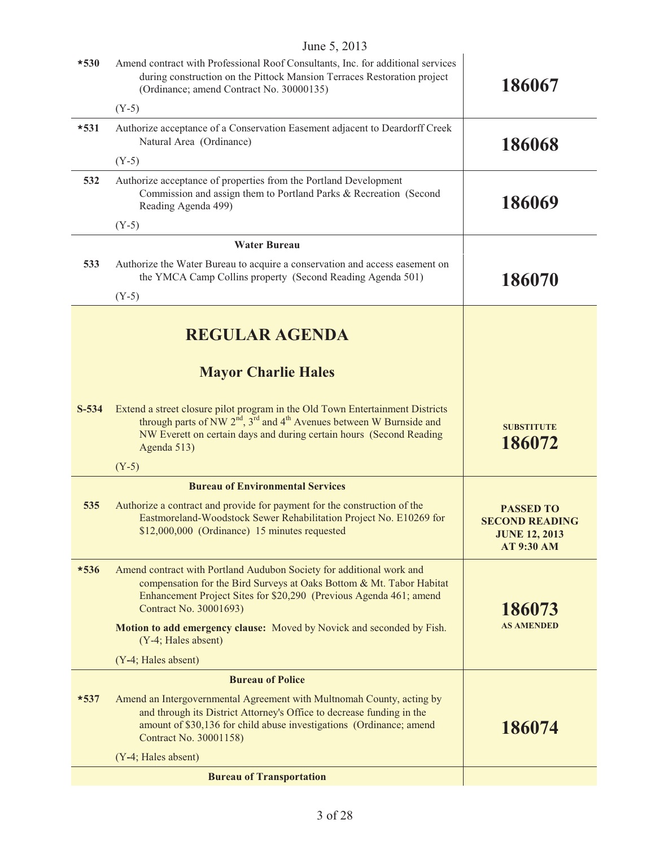| $*530$  | Amend contract with Professional Roof Consultants, Inc. for additional services<br>during construction on the Pittock Mansion Terraces Restoration project<br>(Ordinance; amend Contract No. 30000135)                                                                          | 186067                                                                                 |
|---------|---------------------------------------------------------------------------------------------------------------------------------------------------------------------------------------------------------------------------------------------------------------------------------|----------------------------------------------------------------------------------------|
|         | $(Y-5)$                                                                                                                                                                                                                                                                         |                                                                                        |
| $*531$  | Authorize acceptance of a Conservation Easement adjacent to Deardorff Creek<br>Natural Area (Ordinance)                                                                                                                                                                         | 186068                                                                                 |
|         | $(Y-5)$                                                                                                                                                                                                                                                                         |                                                                                        |
| 532     | Authorize acceptance of properties from the Portland Development<br>Commission and assign them to Portland Parks & Recreation (Second<br>Reading Agenda 499)                                                                                                                    | 186069                                                                                 |
|         | $(Y-5)$                                                                                                                                                                                                                                                                         |                                                                                        |
|         | <b>Water Bureau</b>                                                                                                                                                                                                                                                             |                                                                                        |
| 533     | Authorize the Water Bureau to acquire a conservation and access easement on<br>the YMCA Camp Collins property (Second Reading Agenda 501)                                                                                                                                       | 186070                                                                                 |
|         | $(Y-5)$                                                                                                                                                                                                                                                                         |                                                                                        |
|         | <b>REGULAR AGENDA</b>                                                                                                                                                                                                                                                           |                                                                                        |
|         | <b>Mayor Charlie Hales</b>                                                                                                                                                                                                                                                      |                                                                                        |
| $S-534$ | Extend a street closure pilot program in the Old Town Entertainment Districts<br>through parts of NW $2^{\text{nd}}$ , $3^{\text{rd}}$ and $4^{\text{th}}$ Avenues between W Burnside and<br>NW Everett on certain days and during certain hours (Second Reading<br>Agenda 513) | <b>SUBSTITUTE</b><br>186072                                                            |
|         | $(Y-5)$                                                                                                                                                                                                                                                                         |                                                                                        |
|         | <b>Bureau of Environmental Services</b>                                                                                                                                                                                                                                         |                                                                                        |
| 535     | Authorize a contract and provide for payment for the construction of the<br>Eastmoreland-Woodstock Sewer Rehabilitation Project No. E10269 for<br>\$12,000,000 (Ordinance) 15 minutes requested                                                                                 | <b>PASSED TO</b><br><b>SECOND READING</b><br><b>JUNE 12, 2013</b><br><b>AT 9:30 AM</b> |
| $*536$  | Amend contract with Portland Audubon Society for additional work and<br>compensation for the Bird Surveys at Oaks Bottom & Mt. Tabor Habitat<br>Enhancement Project Sites for \$20,290 (Previous Agenda 461; amend<br>Contract No. 30001693)                                    | 186073                                                                                 |
|         | Motion to add emergency clause: Moved by Novick and seconded by Fish.<br>(Y-4; Hales absent)                                                                                                                                                                                    | <b>AS AMENDED</b>                                                                      |
|         | (Y-4; Hales absent)                                                                                                                                                                                                                                                             |                                                                                        |
|         | <b>Bureau of Police</b>                                                                                                                                                                                                                                                         |                                                                                        |
| $*537$  | Amend an Intergovernmental Agreement with Multnomah County, acting by<br>and through its District Attorney's Office to decrease funding in the<br>amount of \$30,136 for child abuse investigations (Ordinance; amend<br>Contract No. 30001158)                                 | 186074                                                                                 |
|         | (Y-4; Hales absent)                                                                                                                                                                                                                                                             |                                                                                        |
|         | <b>Bureau of Transportation</b>                                                                                                                                                                                                                                                 |                                                                                        |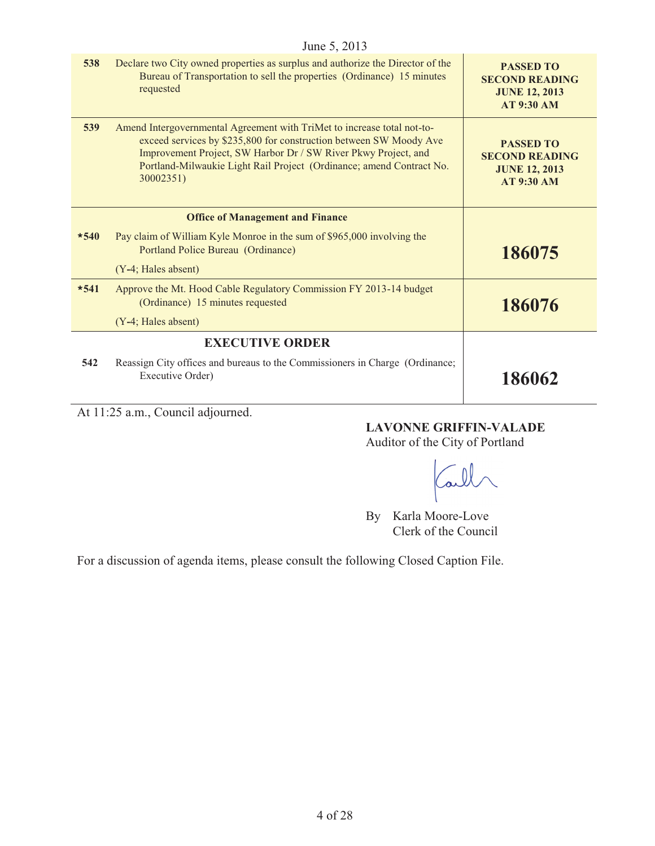|        | June 5, 2013                                                                                                                                                                                                                                                                                         |                                                                                        |
|--------|------------------------------------------------------------------------------------------------------------------------------------------------------------------------------------------------------------------------------------------------------------------------------------------------------|----------------------------------------------------------------------------------------|
| 538    | Declare two City owned properties as surplus and authorize the Director of the<br>Bureau of Transportation to sell the properties (Ordinance) 15 minutes<br>requested                                                                                                                                | <b>PASSED TO</b><br><b>SECOND READING</b><br><b>JUNE 12, 2013</b><br><b>AT 9:30 AM</b> |
| 539    | Amend Intergovernmental Agreement with TriMet to increase total not-to-<br>exceed services by \$235,800 for construction between SW Moody Ave<br>Improvement Project, SW Harbor Dr / SW River Pkwy Project, and<br>Portland-Milwaukie Light Rail Project (Ordinance; amend Contract No.<br>30002351) | <b>PASSED TO</b><br><b>SECOND READING</b><br><b>JUNE 12, 2013</b><br><b>AT 9:30 AM</b> |
|        | <b>Office of Management and Finance</b>                                                                                                                                                                                                                                                              |                                                                                        |
| $*540$ | Pay claim of William Kyle Monroe in the sum of \$965,000 involving the<br>Portland Police Bureau (Ordinance)                                                                                                                                                                                         | 186075                                                                                 |
|        | (Y-4; Hales absent)                                                                                                                                                                                                                                                                                  |                                                                                        |
| $*541$ | Approve the Mt. Hood Cable Regulatory Commission FY 2013-14 budget<br>(Ordinance) 15 minutes requested                                                                                                                                                                                               | 186076                                                                                 |
|        | (Y-4; Hales absent)                                                                                                                                                                                                                                                                                  |                                                                                        |
|        | <b>EXECUTIVE ORDER</b>                                                                                                                                                                                                                                                                               |                                                                                        |
| 542    | Reassign City offices and bureaus to the Commissioners in Charge (Ordinance;<br>Executive Order)                                                                                                                                                                                                     | 186062                                                                                 |

At 11:25 a.m., Council adjourned.

#### **LAVONNE GRIFFIN-VALADE**

Auditor of the City of Portland

Tall

By Karla Moore-Love Clerk of the Council

For a discussion of agenda items, please consult the following Closed Caption File.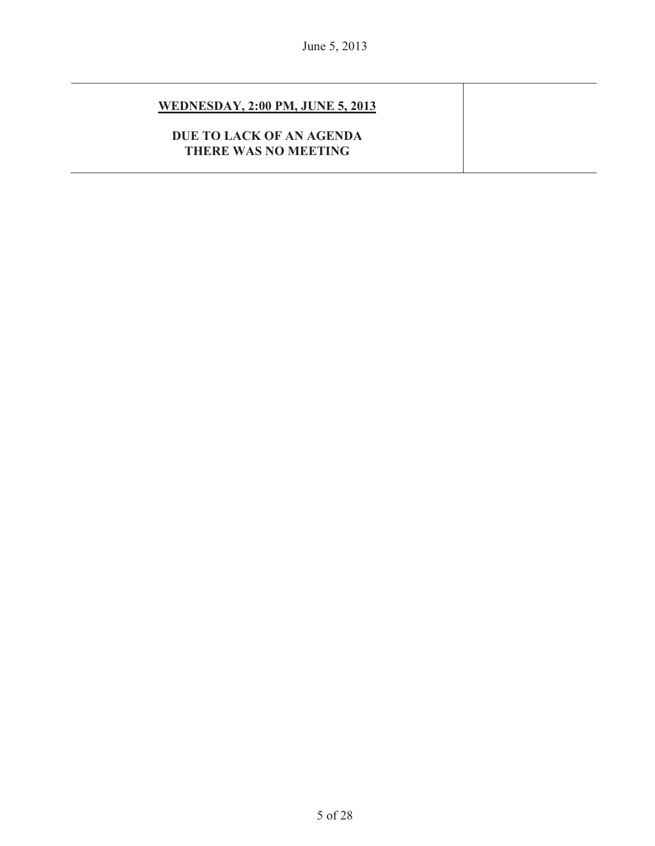#### **WEDNESDAY, 2:00 PM, JUNE 5, 2013**

#### **DUE TO LACK OF AN AGENDA THERE WAS NO MEETING**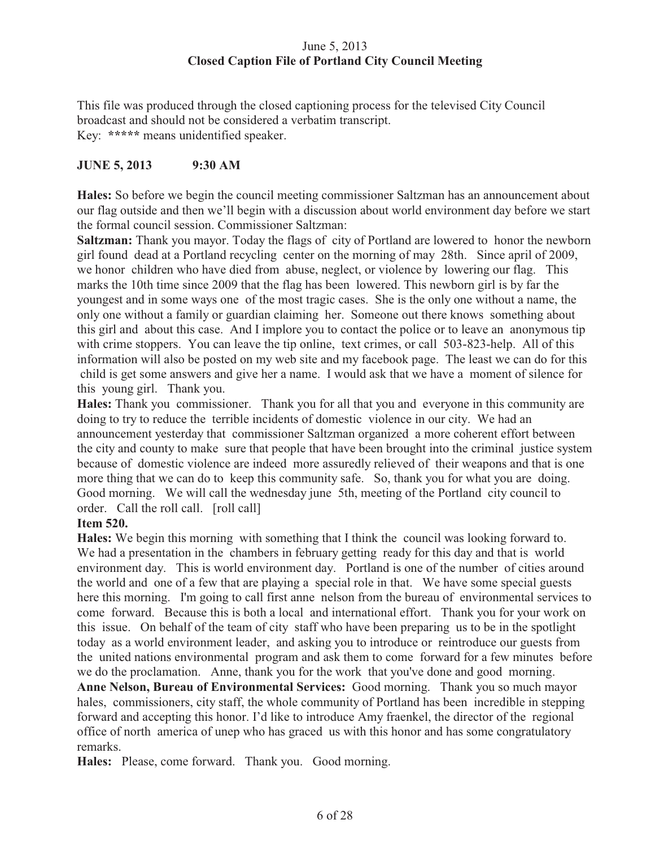#### June 5, 2013 **Closed Caption File of Portland City Council Meeting**

This file was produced through the closed captioning process for the televised City Council broadcast and should not be considered a verbatim transcript. Key: **\*\*\*\*\*** means unidentified speaker.

#### **JUNE 5, 2013 9:30 AM**

**Hales:** So before we begin the council meeting commissioner Saltzman has an announcement about our flag outside and then we'll begin with a discussion about world environment day before we start the formal council session. Commissioner Saltzman:

**Saltzman:** Thank you mayor. Today the flags of city of Portland are lowered to honor the newborn girl found dead at a Portland recycling center on the morning of may 28th. Since april of 2009, we honor children who have died from abuse, neglect, or violence by lowering our flag. This marks the 10th time since 2009 that the flag has been lowered. This newborn girl is by far the youngest and in some ways one of the most tragic cases. She is the only one without a name, the only one without a family or guardian claiming her. Someone out there knows something about this girl and about this case. And I implore you to contact the police or to leave an anonymous tip with crime stoppers. You can leave the tip online, text crimes, or call 503-823-help. All of this information will also be posted on my web site and my facebook page. The least we can do for this child is get some answers and give her a name. I would ask that we have a moment of silence for this young girl. Thank you.

**Hales:** Thank you commissioner. Thank you for all that you and everyone in this community are doing to try to reduce the terrible incidents of domestic violence in our city. We had an announcement yesterday that commissioner Saltzman organized a more coherent effort between the city and county to make sure that people that have been brought into the criminal justice system because of domestic violence are indeed more assuredly relieved of their weapons and that is one more thing that we can do to keep this community safe. So, thank you for what you are doing. Good morning. We will call the wednesday june 5th, meeting of the Portland city council to order. Call the roll call. [roll call]

#### **Item 520.**

**Hales:** We begin this morning with something that I think the council was looking forward to. We had a presentation in the chambers in february getting ready for this day and that is world environment day. This is world environment day. Portland is one of the number of cities around the world and one of a few that are playing a special role in that. We have some special guests here this morning. I'm going to call first anne nelson from the bureau of environmental services to come forward. Because this is both a local and international effort. Thank you for your work on this issue. On behalf of the team of city staff who have been preparing us to be in the spotlight today as a world environment leader, and asking you to introduce or reintroduce our guests from the united nations environmental program and ask them to come forward for a few minutes before we do the proclamation. Anne, thank you for the work that you've done and good morning. **Anne Nelson, Bureau of Environmental Services:** Good morning. Thank you so much mayor hales, commissioners, city staff, the whole community of Portland has been incredible in stepping forward and accepting this honor. I'd like to introduce Amy fraenkel, the director of the regional office of north america of unep who has graced us with this honor and has some congratulatory remarks.

Hales: Please, come forward. Thank you. Good morning.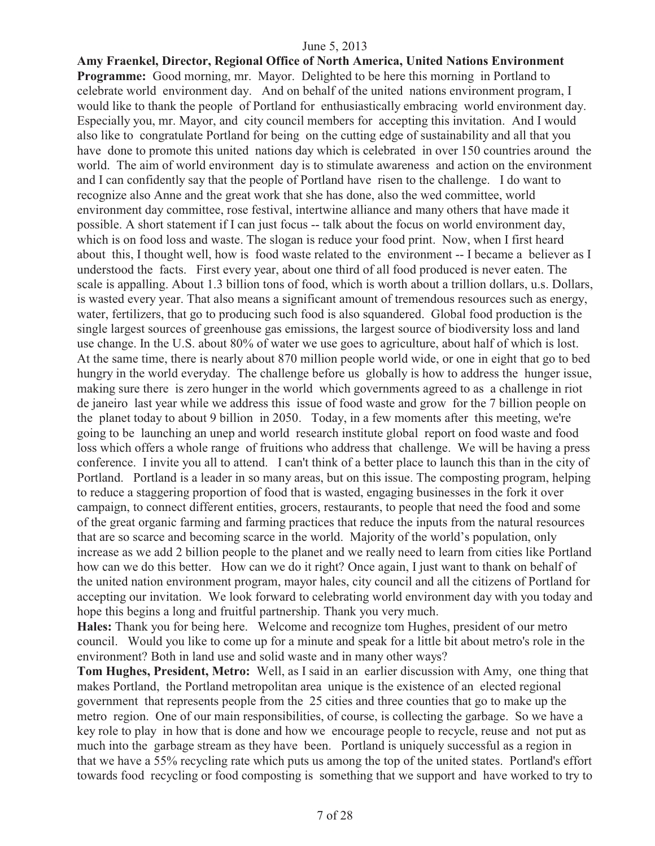**Amy Fraenkel, Director, Regional Office of North America, United Nations Environment Programme:** Good morning, mr. Mayor. Delighted to be here this morning in Portland to celebrate world environment day. And on behalf of the united nations environment program, I would like to thank the people of Portland for enthusiastically embracing world environment day. Especially you, mr. Mayor, and city council members for accepting this invitation. And I would also like to congratulate Portland for being on the cutting edge of sustainability and all that you have done to promote this united nations day which is celebrated in over 150 countries around the world. The aim of world environment day is to stimulate awareness and action on the environment and I can confidently say that the people of Portland have risen to the challenge. I do want to recognize also Anne and the great work that she has done, also the wed committee, world environment day committee, rose festival, intertwine alliance and many others that have made it possible. A short statement if I can just focus -- talk about the focus on world environment day, which is on food loss and waste. The slogan is reduce your food print. Now, when I first heard about this, I thought well, how is food waste related to the environment -- I became a believer as I understood the facts. First every year, about one third of all food produced is never eaten. The scale is appalling. About 1.3 billion tons of food, which is worth about a trillion dollars, u.s. Dollars, is wasted every year. That also means a significant amount of tremendous resources such as energy, water, fertilizers, that go to producing such food is also squandered. Global food production is the single largest sources of greenhouse gas emissions, the largest source of biodiversity loss and land use change. In the U.S. about 80% of water we use goes to agriculture, about half of which is lost. At the same time, there is nearly about 870 million people world wide, or one in eight that go to bed hungry in the world everyday. The challenge before us globally is how to address the hunger issue, making sure there is zero hunger in the world which governments agreed to as a challenge in riot de janeiro last year while we address this issue of food waste and grow for the 7 billion people on the planet today to about 9 billion in 2050. Today, in a few moments after this meeting, we're going to be launching an unep and world research institute global report on food waste and food loss which offers a whole range of fruitions who address that challenge. We will be having a press conference. I invite you all to attend. I can't think of a better place to launch this than in the city of Portland. Portland is a leader in so many areas, but on this issue. The composting program, helping to reduce a staggering proportion of food that is wasted, engaging businesses in the fork it over campaign, to connect different entities, grocers, restaurants, to people that need the food and some of the great organic farming and farming practices that reduce the inputs from the natural resources that are so scarce and becoming scarce in the world. Majority of the world's population, only increase as we add 2 billion people to the planet and we really need to learn from cities like Portland how can we do this better. How can we do it right? Once again, I just want to thank on behalf of the united nation environment program, mayor hales, city council and all the citizens of Portland for accepting our invitation. We look forward to celebrating world environment day with you today and hope this begins a long and fruitful partnership. Thank you very much.

**Hales:** Thank you for being here. Welcome and recognize tom Hughes, president of our metro council. Would you like to come up for a minute and speak for a little bit about metro's role in the environment? Both in land use and solid waste and in many other ways?

**Tom Hughes, President, Metro:** Well, as I said in an earlier discussion with Amy, one thing that makes Portland, the Portland metropolitan area unique is the existence of an elected regional government that represents people from the 25 cities and three counties that go to make up the metro region. One of our main responsibilities, of course, is collecting the garbage. So we have a key role to play in how that is done and how we encourage people to recycle, reuse and not put as much into the garbage stream as they have been. Portland is uniquely successful as a region in that we have a 55% recycling rate which puts us among the top of the united states. Portland's effort towards food recycling or food composting is something that we support and have worked to try to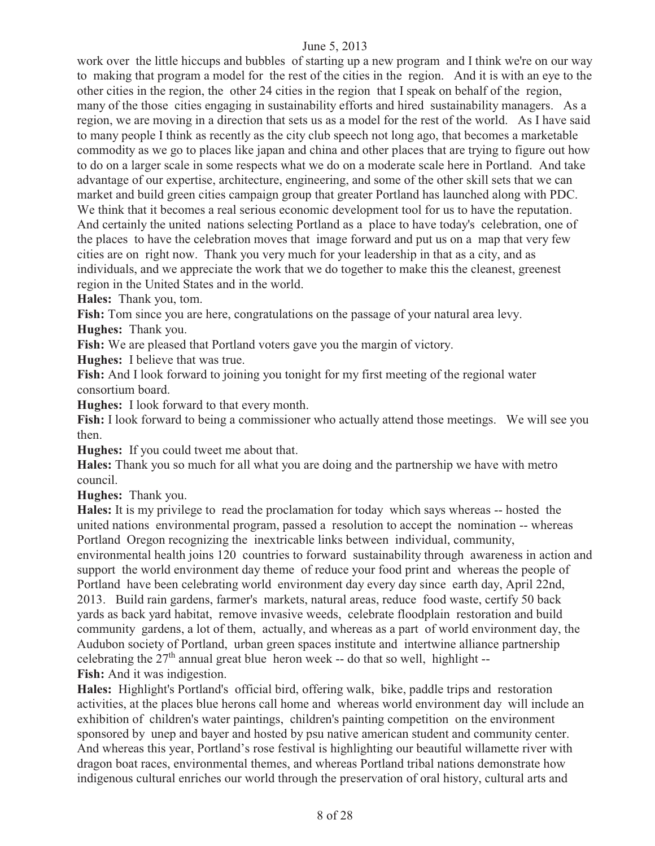work over the little hiccups and bubbles of starting up a new program and I think we're on our way to making that program a model for the rest of the cities in the region. And it is with an eye to the other cities in the region, the other 24 cities in the region that I speak on behalf of the region, many of the those cities engaging in sustainability efforts and hired sustainability managers. As a region, we are moving in a direction that sets us as a model for the rest of the world. As I have said to many people I think as recently as the city club speech not long ago, that becomes a marketable commodity as we go to places like japan and china and other places that are trying to figure out how to do on a larger scale in some respects what we do on a moderate scale here in Portland. And take advantage of our expertise, architecture, engineering, and some of the other skill sets that we can market and build green cities campaign group that greater Portland has launched along with PDC. We think that it becomes a real serious economic development tool for us to have the reputation. And certainly the united nations selecting Portland as a place to have today's celebration, one of the places to have the celebration moves that image forward and put us on a map that very few cities are on right now. Thank you very much for your leadership in that as a city, and as individuals, and we appreciate the work that we do together to make this the cleanest, greenest region in the United States and in the world.

**Hales:** Thank you, tom.

Fish: Tom since you are here, congratulations on the passage of your natural area levy.

**Hughes:** Thank you.

**Fish:** We are pleased that Portland voters gave you the margin of victory.

**Hughes:** I believe that was true.

**Fish:** And I look forward to joining you tonight for my first meeting of the regional water consortium board.

**Hughes:** I look forward to that every month.

**Fish:** I look forward to being a commissioner who actually attend those meetings. We will see you then.

**Hughes:** If you could tweet me about that.

**Hales:** Thank you so much for all what you are doing and the partnership we have with metro council.

**Hughes:** Thank you.

**Hales:** It is my privilege to read the proclamation for today which says whereas -- hosted the united nations environmental program, passed a resolution to accept the nomination -- whereas Portland Oregon recognizing the inextricable links between individual, community,

environmental health joins 120 countries to forward sustainability through awareness in action and support the world environment day theme of reduce your food print and whereas the people of Portland have been celebrating world environment day every day since earth day, April 22nd, 2013. Build rain gardens, farmer's markets, natural areas, reduce food waste, certify 50 back yards as back yard habitat, remove invasive weeds, celebrate floodplain restoration and build community gardens, a lot of them, actually, and whereas as a part of world environment day, the Audubon society of Portland, urban green spaces institute and intertwine alliance partnership celebrating the  $27<sup>th</sup>$  annual great blue heron week -- do that so well, highlight --**Fish:** And it was indigestion.

**Hales:** Highlight's Portland's official bird, offering walk, bike, paddle trips and restoration activities, at the places blue herons call home and whereas world environment day will include an exhibition of children's water paintings, children's painting competition on the environment sponsored by unep and bayer and hosted by psu native american student and community center. And whereas this year, Portland's rose festival is highlighting our beautiful willamette river with dragon boat races, environmental themes, and whereas Portland tribal nations demonstrate how indigenous cultural enriches our world through the preservation of oral history, cultural arts and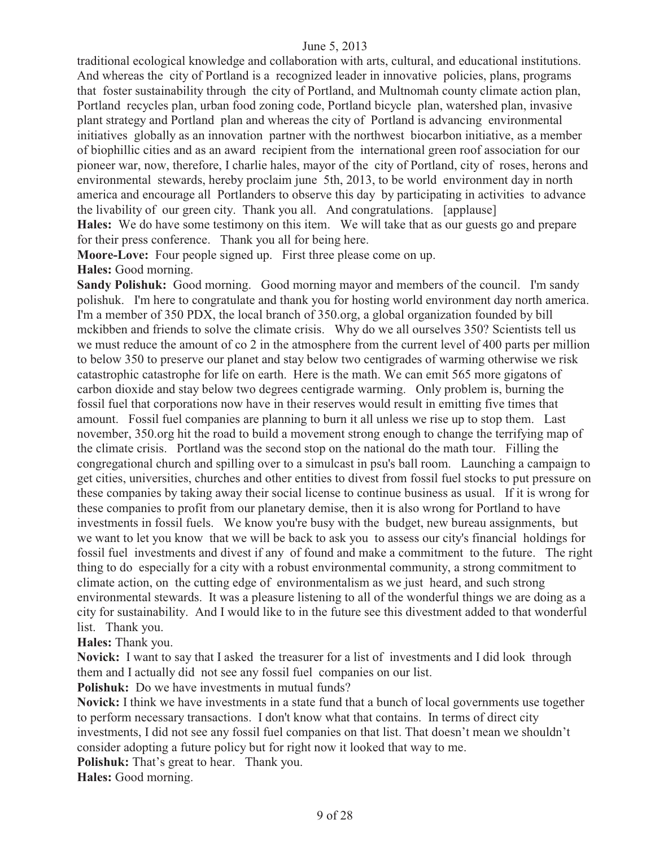traditional ecological knowledge and collaboration with arts, cultural, and educational institutions. And whereas the city of Portland is a recognized leader in innovative policies, plans, programs that foster sustainability through the city of Portland, and Multnomah county climate action plan, Portland recycles plan, urban food zoning code, Portland bicycle plan, watershed plan, invasive plant strategy and Portland plan and whereas the city of Portland is advancing environmental initiatives globally as an innovation partner with the northwest biocarbon initiative, as a member of biophillic cities and as an award recipient from the international green roof association for our pioneer war, now, therefore, I charlie hales, mayor of the city of Portland, city of roses, herons and environmental stewards, hereby proclaim june 5th, 2013, to be world environment day in north america and encourage all Portlanders to observe this day by participating in activities to advance the livability of our green city. Thank you all. And congratulations. [applause] **Hales:** We do have some testimony on this item. We will take that as our guests go and prepare for their press conference. Thank you all for being here.

**Moore-Love:** Four people signed up. First three please come on up.

**Hales:** Good morning.

**Sandy Polishuk:** Good morning. Good morning mayor and members of the council. I'm sandy polishuk. I'm here to congratulate and thank you for hosting world environment day north america. I'm a member of 350 PDX, the local branch of 350.org, a global organization founded by bill mckibben and friends to solve the climate crisis. Why do we all ourselves 350? Scientists tell us we must reduce the amount of co 2 in the atmosphere from the current level of 400 parts per million to below 350 to preserve our planet and stay below two centigrades of warming otherwise we risk catastrophic catastrophe for life on earth. Here is the math. We can emit 565 more gigatons of carbon dioxide and stay below two degrees centigrade warming. Only problem is, burning the fossil fuel that corporations now have in their reserves would result in emitting five times that amount. Fossil fuel companies are planning to burn it all unless we rise up to stop them. Last november, 350.org hit the road to build a movement strong enough to change the terrifying map of the climate crisis. Portland was the second stop on the national do the math tour. Filling the congregational church and spilling over to a simulcast in psu's ball room. Launching a campaign to get cities, universities, churches and other entities to divest from fossil fuel stocks to put pressure on these companies by taking away their social license to continue business as usual. If it is wrong for these companies to profit from our planetary demise, then it is also wrong for Portland to have investments in fossil fuels. We know you're busy with the budget, new bureau assignments, but we want to let you know that we will be back to ask you to assess our city's financial holdings for fossil fuel investments and divest if any of found and make a commitment to the future. The right thing to do especially for a city with a robust environmental community, a strong commitment to climate action, on the cutting edge of environmentalism as we just heard, and such strong environmental stewards. It was a pleasure listening to all of the wonderful things we are doing as a city for sustainability. And I would like to in the future see this divestment added to that wonderful list. Thank you.

**Hales:** Thank you.

**Novick:** I want to say that I asked the treasurer for a list of investments and I did look through them and I actually did not see any fossil fuel companies on our list.

**Polishuk:** Do we have investments in mutual funds?

**Novick:** I think we have investments in a state fund that a bunch of local governments use together to perform necessary transactions. I don't know what that contains. In terms of direct city investments, I did not see any fossil fuel companies on that list. That doesn't mean we shouldn't consider adopting a future policy but for right now it looked that way to me.

**Polishuk:** That's great to hear. Thank you.

**Hales:** Good morning.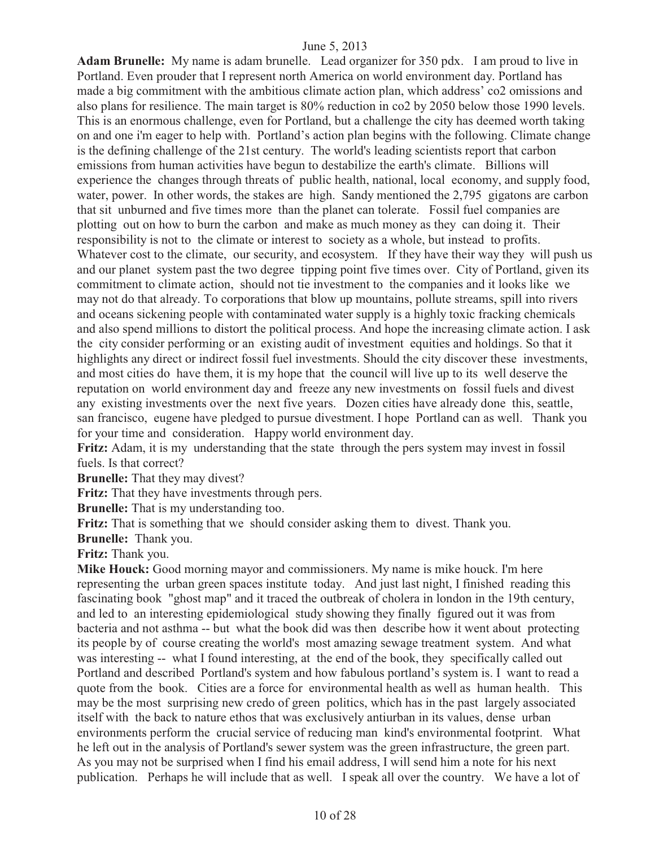**Adam Brunelle:** My name is adam brunelle. Lead organizer for 350 pdx. I am proud to live in Portland. Even prouder that I represent north America on world environment day. Portland has made a big commitment with the ambitious climate action plan, which address' co2 omissions and also plans for resilience. The main target is 80% reduction in co2 by 2050 below those 1990 levels. This is an enormous challenge, even for Portland, but a challenge the city has deemed worth taking on and one i'm eager to help with. Portland's action plan begins with the following. Climate change is the defining challenge of the 21st century. The world's leading scientists report that carbon emissions from human activities have begun to destabilize the earth's climate. Billions will experience the changes through threats of public health, national, local economy, and supply food, water, power. In other words, the stakes are high. Sandy mentioned the 2,795 gigatons are carbon that sit unburned and five times more than the planet can tolerate. Fossil fuel companies are plotting out on how to burn the carbon and make as much money as they can doing it. Their responsibility is not to the climate or interest to society as a whole, but instead to profits. Whatever cost to the climate, our security, and ecosystem. If they have their way they will push us and our planet system past the two degree tipping point five times over. City of Portland, given its commitment to climate action, should not tie investment to the companies and it looks like we may not do that already. To corporations that blow up mountains, pollute streams, spill into rivers and oceans sickening people with contaminated water supply is a highly toxic fracking chemicals and also spend millions to distort the political process. And hope the increasing climate action. I ask the city consider performing or an existing audit of investment equities and holdings. So that it highlights any direct or indirect fossil fuel investments. Should the city discover these investments, and most cities do have them, it is my hope that the council will live up to its well deserve the reputation on world environment day and freeze any new investments on fossil fuels and divest any existing investments over the next five years. Dozen cities have already done this, seattle, san francisco, eugene have pledged to pursue divestment. I hope Portland can as well. Thank you for your time and consideration. Happy world environment day.

**Fritz:** Adam, it is my understanding that the state through the pers system may invest in fossil fuels. Is that correct?

**Brunelle:** That they may divest?

**Fritz:** That they have investments through pers.

**Brunelle:** That is my understanding too.

**Fritz:** That is something that we should consider asking them to divest. Thank you.

**Brunelle:** Thank you.

**Fritz:** Thank you.

**Mike Houck:** Good morning mayor and commissioners. My name is mike houck. I'm here representing the urban green spaces institute today. And just last night, I finished reading this fascinating book "ghost map" and it traced the outbreak of cholera in london in the 19th century, and led to an interesting epidemiological study showing they finally figured out it was from bacteria and not asthma -- but what the book did was then describe how it went about protecting its people by of course creating the world's most amazing sewage treatment system. And what was interesting -- what I found interesting, at the end of the book, they specifically called out Portland and described Portland's system and how fabulous portland's system is. I want to read a quote from the book. Cities are a force for environmental health as well as human health. This may be the most surprising new credo of green politics, which has in the past largely associated itself with the back to nature ethos that was exclusively antiurban in its values, dense urban environments perform the crucial service of reducing man kind's environmental footprint. What he left out in the analysis of Portland's sewer system was the green infrastructure, the green part. As you may not be surprised when I find his email address, I will send him a note for his next publication. Perhaps he will include that as well. I speak all over the country. We have a lot of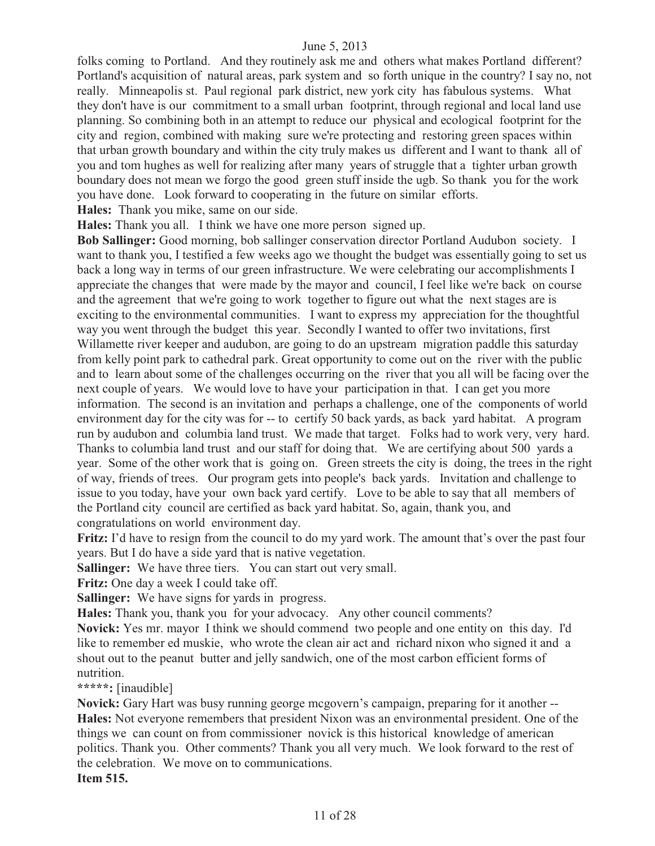folks coming to Portland. And they routinely ask me and others what makes Portland different? Portland's acquisition of natural areas, park system and so forth unique in the country? I say no, not really. Minneapolis st. Paul regional park district, new york city has fabulous systems. What they don't have is our commitment to a small urban footprint, through regional and local land use planning. So combining both in an attempt to reduce our physical and ecological footprint for the city and region, combined with making sure we're protecting and restoring green spaces within that urban growth boundary and within the city truly makes us different and I want to thank all of you and tom hughes as well for realizing after many years of struggle that a tighter urban growth boundary does not mean we forgo the good green stuff inside the ugb. So thank you for the work you have done. Look forward to cooperating in the future on similar efforts.

**Hales:** Thank you mike, same on our side.

**Hales:** Thank you all. I think we have one more person signed up.

**Bob Sallinger:** Good morning, bob sallinger conservation director Portland Audubon society. I want to thank you, I testified a few weeks ago we thought the budget was essentially going to set us back a long way in terms of our green infrastructure. We were celebrating our accomplishments I appreciate the changes that were made by the mayor and council, I feel like we're back on course and the agreement that we're going to work together to figure out what the next stages are is exciting to the environmental communities. I want to express my appreciation for the thoughtful way you went through the budget this year. Secondly I wanted to offer two invitations, first Willamette river keeper and audubon, are going to do an upstream migration paddle this saturday from kelly point park to cathedral park. Great opportunity to come out on the river with the public and to learn about some of the challenges occurring on the river that you all will be facing over the next couple of years. We would love to have your participation in that. I can get you more information. The second is an invitation and perhaps a challenge, one of the components of world environment day for the city was for -- to certify 50 back yards, as back yard habitat. A program run by audubon and columbia land trust. We made that target. Folks had to work very, very hard. Thanks to columbia land trust and our staff for doing that. We are certifying about 500 yards a year. Some of the other work that is going on. Green streets the city is doing, the trees in the right of way, friends of trees. Our program gets into people's back yards. Invitation and challenge to issue to you today, have your own back yard certify. Love to be able to say that all members of the Portland city council are certified as back yard habitat. So, again, thank you, and congratulations on world environment day.

**Fritz:** I'd have to resign from the council to do my yard work. The amount that's over the past four years. But I do have a side yard that is native vegetation.

**Sallinger:** We have three tiers. You can start out very small.

Fritz: One day a week I could take off.

**Sallinger:** We have signs for yards in progress.

**Hales:** Thank you, thank you for your advocacy. Any other council comments?

**Novick:** Yes mr. mayorI think we should commend two people and one entity on this day. I'd like to remember ed muskie, who wrote the clean air act and richard nixon who signed it and a shout out to the peanut butter and jelly sandwich, one of the most carbon efficient forms of nutrition.

**\*\*\*\*\*:** [inaudible]

**Novick:** Gary Hart was busy running george mcgovern's campaign, preparing for it another -- **Hales:** Not everyone remembers that president Nixon was an environmental president. One of the things we can count on from commissioner novick is this historical knowledge of american politics. Thank you. Other comments? Thank you all very much. We look forward to the rest of the celebration. We move on to communications. **Item 515.**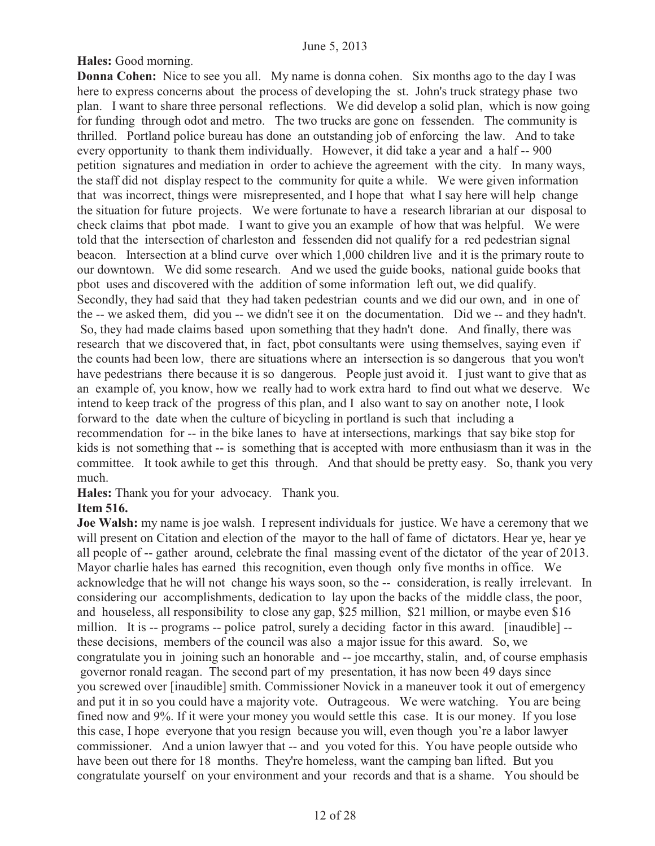#### **Hales:** Good morning.

**Donna Cohen:** Nice to see you all. My name is donna cohen. Six months ago to the day I was here to express concerns about the process of developing the st. John's truck strategy phase two plan. I want to share three personal reflections. We did develop a solid plan, which is now going for funding through odot and metro. The two trucks are gone on fessenden. The community is thrilled. Portland police bureau has done an outstanding job of enforcing the law. And to take every opportunity to thank them individually. However, it did take a year and a half -- 900 petition signatures and mediation in order to achieve the agreement with the city. In many ways, the staff did not display respect to the community for quite a while. We were given information that was incorrect, things were misrepresented, and I hope that what I say here will help change the situation for future projects. We were fortunate to have a research librarian at our disposal to check claims that pbot made. I want to give you an example of how that was helpful. We were told that the intersection of charleston and fessenden did not qualify for a red pedestrian signal beacon. Intersection at a blind curve over which 1,000 children live and it is the primary route to our downtown. We did some research. And we used the guide books, national guide books that pbot uses and discovered with the addition of some information left out, we did qualify. Secondly, they had said that they had taken pedestrian counts and we did our own, and in one of the -- we asked them, did you -- we didn't see it on the documentation. Did we -- and they hadn't. So, they had made claims based upon something that they hadn't done. And finally, there was research that we discovered that, in fact, pbot consultants were using themselves, saying even if the counts had been low, there are situations where an intersection is so dangerous that you won't have pedestrians there because it is so dangerous. People just avoid it. I just want to give that as an example of, you know, how we really had to work extra hard to find out what we deserve. We intend to keep track of the progress of this plan, and I also want to say on another note, I look forward to the date when the culture of bicycling in portland is such that including a recommendation for -- in the bike lanes to have at intersections, markings that say bike stop for kids is not something that -- is something that is accepted with more enthusiasm than it was in the committee. It took awhile to get this through. And that should be pretty easy. So, thank you very much.

**Hales:** Thank you for your advocacy. Thank you.

#### **Item 516.**

**Joe Walsh:** my name is joe walsh. I represent individuals for justice. We have a ceremony that we will present on Citation and election of the mayor to the hall of fame of dictators. Hear ye, hear ye all people of -- gather around, celebrate the final massing event of the dictator of the year of 2013. Mayor charlie hales has earned this recognition, even though only five months in office. We acknowledge that he will not change his ways soon, so the -- consideration, is really irrelevant. In considering our accomplishments, dedication to lay upon the backs of the middle class, the poor, and houseless, all responsibility to close any gap, \$25 million, \$21 million, or maybe even \$16 million. It is -- programs -- police patrol, surely a deciding factor in this award. [inaudible] -these decisions, members of the council was also a major issue for this award. So, we congratulate you in joining such an honorable and -- joe mccarthy, stalin, and, of course emphasis governor ronald reagan. The second part of my presentation, it has now been 49 days since you screwed over [inaudible] smith. Commissioner Novick in a maneuver took it out of emergency and put it in so you could have a majority vote. Outrageous. We were watching. You are being fined now and 9%. If it were your money you would settle this case. It is our money. If you lose this case, I hope everyone that you resign because you will, even though you're a labor lawyer commissioner. And a union lawyer that -- and you voted for this. You have people outside who have been out there for 18 months. They're homeless, want the camping ban lifted. But you congratulate yourself on your environment and your records and that is a shame. You should be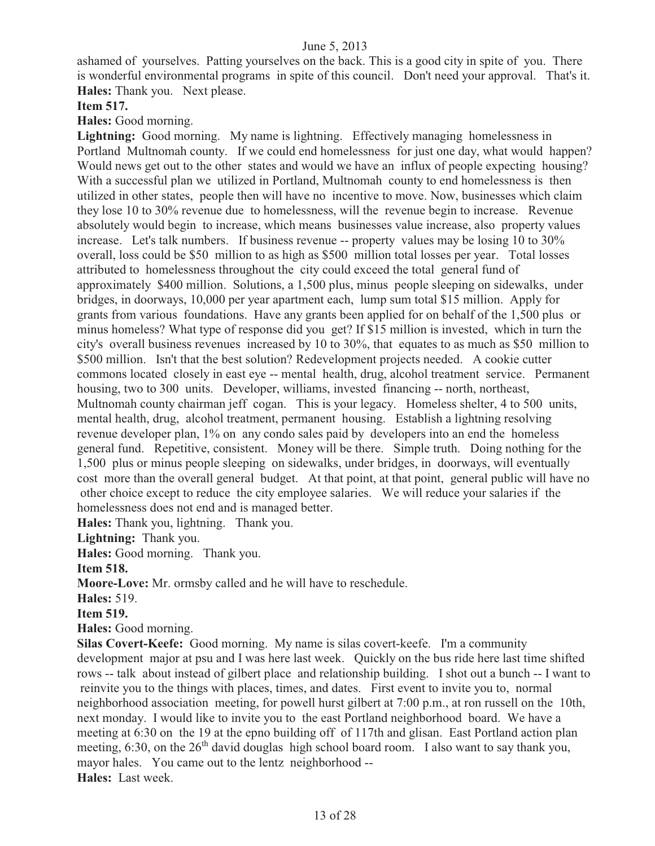ashamed of yourselves. Patting yourselves on the back. This is a good city in spite of you. There is wonderful environmental programs in spite of this council. Don't need your approval. That's it. **Hales:** Thank you. Next please.

#### **Item 517.**

**Hales:** Good morning.

Lightning: Good morning. My name is lightning. Effectively managing homelessness in Portland Multnomah county. If we could end homelessness for just one day, what would happen? Would news get out to the other states and would we have an influx of people expecting housing? With a successful plan we utilized in Portland, Multnomah county to end homelessness is then utilized in other states, people then will have no incentive to move. Now, businesses which claim they lose 10 to 30% revenue due to homelessness, will the revenue begin to increase. Revenue absolutely would begin to increase, which means businesses value increase, also property values increase. Let's talk numbers. If business revenue -- property values may be losing 10 to 30% overall, loss could be \$50 million to as high as \$500 million total losses per year. Total losses attributed to homelessness throughout the city could exceed the total general fund of approximately \$400 million. Solutions, a 1,500 plus, minus people sleeping on sidewalks, under bridges, in doorways, 10,000 per year apartment each, lump sum total \$15 million. Apply for grants from various foundations. Have any grants been applied for on behalf of the 1,500 plus or minus homeless? What type of response did you get? If \$15 million is invested, which in turn the city's overall business revenues increased by 10 to 30%, that equates to as much as \$50 million to \$500 million. Isn't that the best solution? Redevelopment projects needed. A cookie cutter commons located closely in east eye -- mental health, drug, alcohol treatment service. Permanent housing, two to 300 units. Developer, williams, invested financing -- north, northeast, Multnomah county chairman jeff cogan. This is your legacy. Homeless shelter, 4 to 500 units, mental health, drug, alcohol treatment, permanent housing. Establish a lightning resolving revenue developer plan, 1% on any condo sales paid by developers into an end the homeless general fund. Repetitive, consistent. Money will be there. Simple truth. Doing nothing for the 1,500 plus or minus people sleeping on sidewalks, under bridges, in doorways, will eventually cost more than the overall general budget. At that point, at that point, general public will have no other choice except to reduce the city employee salaries. We will reduce your salaries if the homelessness does not end and is managed better.

**Hales:** Thank you, lightning. Thank you.

**Lightning:** Thank you.

**Hales:** Good morning. Thank you.

**Item 518.**

**Moore-Love:** Mr. ormsby called and he will have to reschedule.

**Hales:** 519.

**Item 519.** 

**Hales:** Good morning.

**Silas Covert-Keefe:** Good morning. My name is silas covert-keefe. I'm a community development major at psu and I was here last week. Quickly on the bus ride here last time shifted rows -- talk about instead of gilbert place and relationship building. I shot out a bunch -- I want to reinvite you to the things with places, times, and dates. First event to invite you to, normal neighborhood association meeting, for powell hurst gilbert at 7:00 p.m., at ron russell on the 10th, next monday. I would like to invite you to the east Portland neighborhood board. We have a meeting at 6:30 on the 19 at the epno building off of 117th and glisan. East Portland action plan meeting, 6:30, on the  $26<sup>th</sup>$  david douglas high school board room. I also want to say thank you, mayor hales. You came out to the lentz neighborhood -- **Hales:** Last week.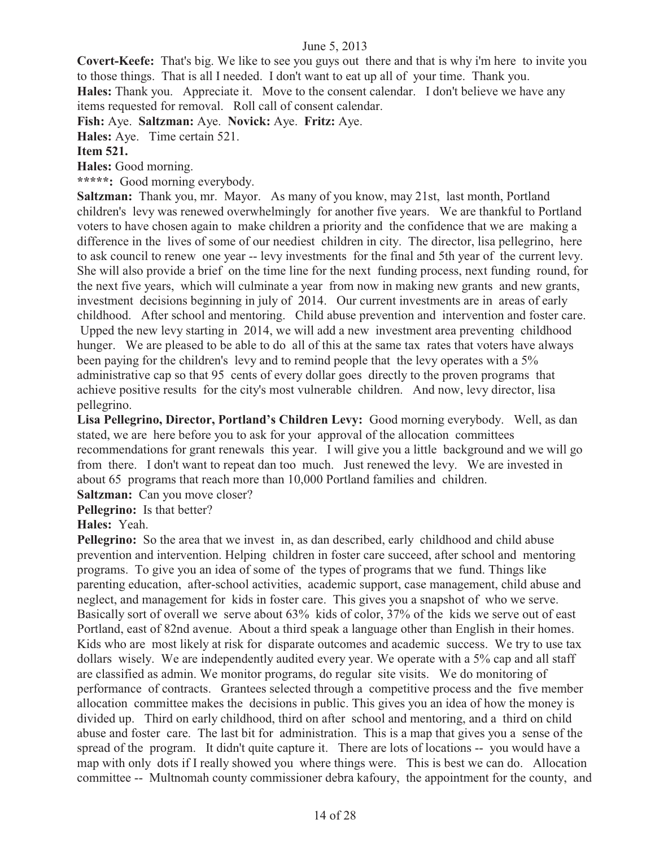**Covert-Keefe:** That's big. We like to see you guys out there and that is why i'm here to invite you to those things. That is all I needed. I don't want to eat up all of your time. Thank you. **Hales:** Thank you. Appreciate it. Move to the consent calendar. I don't believe we have any items requested for removal. Roll call of consent calendar.

**Fish:** Aye. **Saltzman:** Aye. **Novick:** Aye. **Fritz:** Aye.

**Hales:** Aye. Time certain 521.

#### **Item 521.**

**Hales:** Good morning.

**\*\*\*\*\*:** Good morning everybody.

**Saltzman:** Thank you, mr. Mayor. As many of you know, may 21st, last month, Portland children's levy was renewed overwhelmingly for another five years. We are thankful to Portland voters to have chosen again to make children a priority and the confidence that we are making a difference in the lives of some of our neediest children in city. The director, lisa pellegrino, here to ask council to renew one year -- levy investments for the final and 5th year of the current levy. She will also provide a brief on the time line for the next funding process, next funding round, for the next five years, which will culminate a year from now in making new grants and new grants, investment decisions beginning in july of 2014. Our current investments are in areas of early childhood. After school and mentoring. Child abuse prevention and intervention and foster care. Upped the new levy starting in 2014, we will add a new investment area preventing childhood hunger. We are pleased to be able to do all of this at the same tax rates that voters have always been paying for the children's levy and to remind people that the levy operates with a 5% administrative cap so that 95 cents of every dollar goes directly to the proven programs that achieve positive results for the city's most vulnerable children. And now, levy director, lisa pellegrino.

Lisa Pellegrino, Director, Portland's Children Levy: Good morning everybody. Well, as dan stated, we are here before you to ask for your approval of the allocation committees recommendations for grant renewals this year. I will give you a little background and we will go from there. I don't want to repeat dan too much. Just renewed the levy. We are invested in about 65 programs that reach more than 10,000 Portland families and children.

**Saltzman:** Can you move closer?

**Pellegrino:** Is that better?

### **Hales:** Yeah.

**Pellegrino:** So the area that we invest in, as dan described, early childhood and child abuse prevention and intervention. Helping children in foster care succeed, after school and mentoring programs. To give you an idea of some of the types of programs that we fund. Things like parenting education, after-school activities, academic support, case management, child abuse and neglect, and management for kids in foster care. This gives you a snapshot of who we serve. Basically sort of overall we serve about 63% kids of color, 37% of the kids we serve out of east Portland, east of 82nd avenue. About a third speak a language other than English in their homes. Kids who are most likely at risk for disparate outcomes and academic success. We try to use tax dollars wisely. We are independently audited every year. We operate with a 5% cap and all staff are classified as admin. We monitor programs, do regular site visits. We do monitoring of performance of contracts. Grantees selected through a competitive process and the five member allocation committee makes the decisions in public. This gives you an idea of how the money is divided up. Third on early childhood, third on after school and mentoring, and a third on child abuse and foster care. The last bit for administration. This is a map that gives you a sense of the spread of the program. It didn't quite capture it. There are lots of locations -- you would have a map with only dots if I really showed you where things were. This is best we can do. Allocation committee -- Multnomah county commissioner debra kafoury, the appointment for the county, and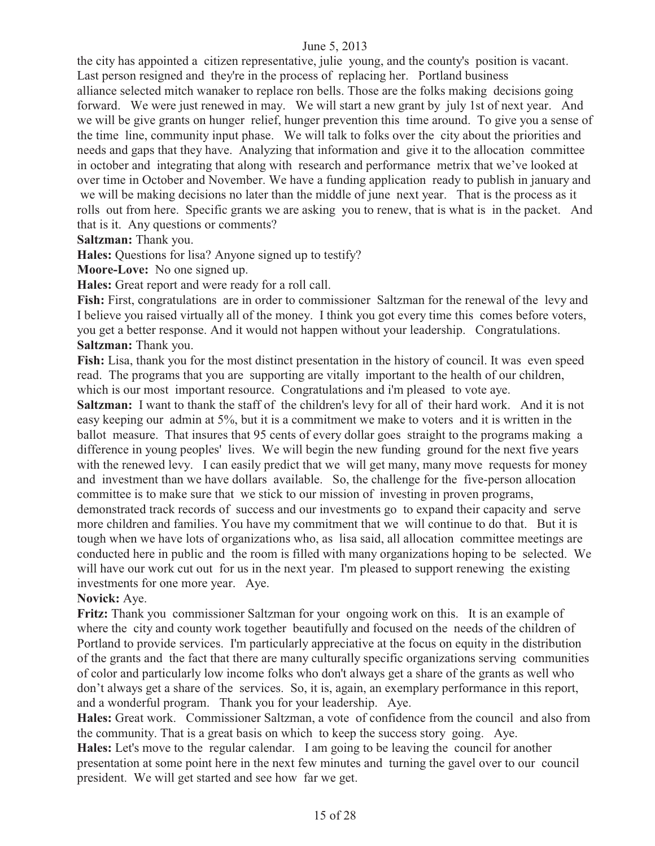the city has appointed a citizen representative, julie young, and the county's position is vacant. Last person resigned and they're in the process of replacing her. Portland business alliance selected mitch wanaker to replace ron bells. Those are the folks making decisions going forward. We were just renewed in may. We will start a new grant by july 1st of next year. And we will be give grants on hunger relief, hunger prevention this time around. To give you a sense of the time line, community input phase. We will talk to folks over the city about the priorities and needs and gaps that they have. Analyzing that information and give it to the allocation committee in october and integrating that along with research and performance metrix that we've looked at over time in October and November. We have a funding application ready to publish in january and we will be making decisions no later than the middle of june next year. That is the process as it rolls out from here. Specific grants we are asking you to renew, that is what is in the packet. And that is it. Any questions or comments?

**Saltzman:** Thank you.

**Hales:** Questions for lisa? Anyone signed up to testify?

**Moore-Love:** No one signed up.

**Hales:** Great report and were ready for a roll call.

**Fish:** First, congratulations are in order to commissioner Saltzman for the renewal of the levy and I believe you raised virtually all of the money. I think you got every time this comes before voters, you get a better response. And it would not happen without your leadership. Congratulations. **Saltzman:** Thank you.

**Fish:** Lisa, thank you for the most distinct presentation in the history of council. It was even speed read. The programs that you are supporting are vitally important to the health of our children, which is our most important resource. Congratulations and i'm pleased to vote aye.

**Saltzman:** I want to thank the staff of the children's levy for all of their hard work. And it is not easy keeping our admin at 5%, but it is a commitment we make to voters and it is written in the ballot measure. That insures that 95 cents of every dollar goes straight to the programs making a difference in young peoples' lives. We will begin the new funding ground for the next five years with the renewed levy. I can easily predict that we will get many, many move requests for money and investment than we have dollars available. So, the challenge for the five-person allocation committee is to make sure that we stick to our mission of investing in proven programs, demonstrated track records of success and our investments go to expand their capacity and serve more children and families. You have my commitment that we will continue to do that. But it is tough when we have lots of organizations who, as lisa said, all allocation committee meetings are conducted here in public and the room is filled with many organizations hoping to be selected. We will have our work cut out for us in the next year. I'm pleased to support renewing the existing investments for one more year. Aye.

#### **Novick:** Aye.

**Fritz:** Thank you commissioner Saltzman for your ongoing work on this. It is an example of where the city and county work together beautifully and focused on the needs of the children of Portland to provide services. I'm particularly appreciative at the focus on equity in the distribution of the grants and the fact that there are many culturally specific organizations serving communities of color and particularly low income folks who don't always get a share of the grants as well who don't always get a share of the services. So, it is, again, an exemplary performance in this report, and a wonderful program. Thank you for your leadership. Aye.

**Hales:** Great work. Commissioner Saltzman, a vote of confidence from the council and also from the community. That is a great basis on which to keep the success story going. Aye.

**Hales:** Let's move to the regular calendar. I am going to be leaving the council for another presentation at some point here in the next few minutes and turning the gavel over to our council president. We will get started and see how far we get.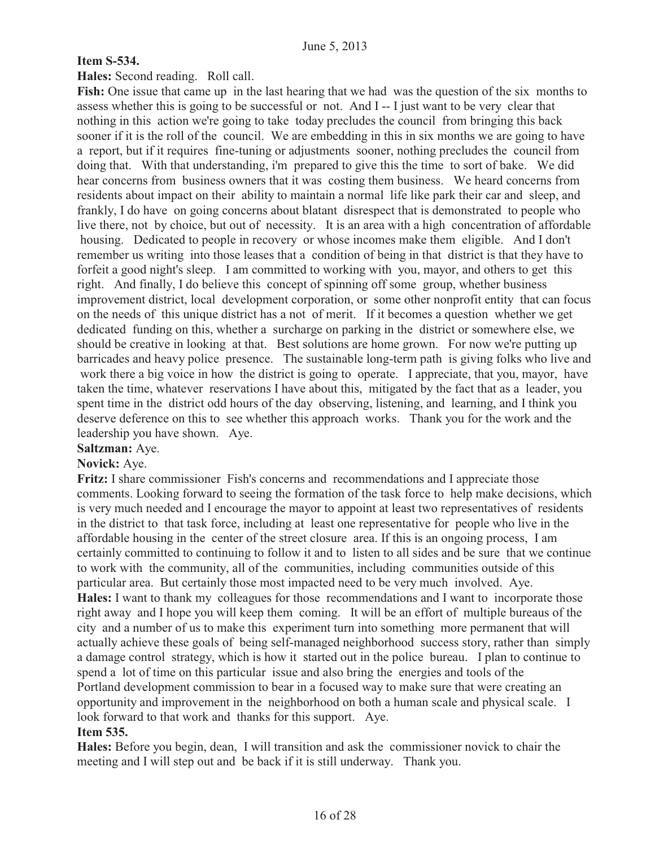#### **Item S-534.**

#### **Hales:** Second reading. Roll call.

**Fish:** One issue that came up in the last hearing that we had was the question of the six months to assess whether this is going to be successful or not. And I -- I just want to be very clear that nothing in this action we're going to take today precludes the council from bringing this back sooner if it is the roll of the council. We are embedding in this in six months we are going to have a report, but if it requires fine-tuning or adjustments sooner, nothing precludes the council from doing that. With that understanding, i'm prepared to give this the time to sort of bake. We did hear concerns from business owners that it was costing them business. We heard concerns from residents about impact on their ability to maintain a normal life like park their car and sleep, and frankly, I do have on going concerns about blatant disrespect that is demonstrated to people who live there, not by choice, but out of necessity. It is an area with a high concentration of affordable housing. Dedicated to people in recovery or whose incomes make them eligible. And I don't remember us writing into those leases that a condition of being in that district is that they have to forfeit a good night's sleep. I am committed to working with you, mayor, and others to get this right. And finally, I do believe this concept of spinning off some group, whether business improvement district, local development corporation, or some other nonprofit entity that can focus on the needs of this unique district has a not of merit. If it becomes a question whether we get dedicated funding on this, whether a surcharge on parking in the district or somewhere else, we should be creative in looking at that. Best solutions are home grown. For now we're putting up barricades and heavy police presence. The sustainable long-term path is giving folks who live and work there a big voice in how the district is going to operate. I appreciate, that you, mayor, have taken the time, whatever reservations I have about this, mitigated by the fact that as a leader, you spent time in the district odd hours of the day observing, listening, and learning, and I think you deserve deference on this to see whether this approach works. Thank you for the work and the leadership you have shown. Aye.

#### **Saltzman:** Aye.

#### **Novick:** Aye.

**Fritz:** I share commissioner Fish's concerns and recommendations and I appreciate those comments. Looking forward to seeing the formation of the task force to help make decisions, which is very much needed and I encourage the mayor to appoint at least two representatives of residents in the district to that task force, including at least one representative for people who live in the affordable housing in the center of the street closure area. If this is an ongoing process, I am certainly committed to continuing to follow it and to listen to all sides and be sure that we continue to work with the community, all of the communities, including communities outside of this particular area. But certainly those most impacted need to be very much involved. Aye. **Hales:** I want to thank my colleagues for those recommendations and I want to incorporate those right away and I hope you will keep them coming. It will be an effort of multiple bureaus of the city and a number of us to make this experiment turn into something more permanent that will actually achieve these goals of being self-managed neighborhood success story, rather than simply a damage control strategy, which is how it started out in the police bureau. I plan to continue to spend a lot of time on this particular issue and also bring the energies and tools of the Portland development commission to bear in a focused way to make sure that were creating an opportunity and improvement in the neighborhood on both a human scale and physical scale. I look forward to that work and thanks for this support. Aye. **Item 535.** 

**Hales:** Before you begin, dean, I will transition and ask the commissioner novick to chair the meeting and I will step out and be back if it is still underway. Thank you.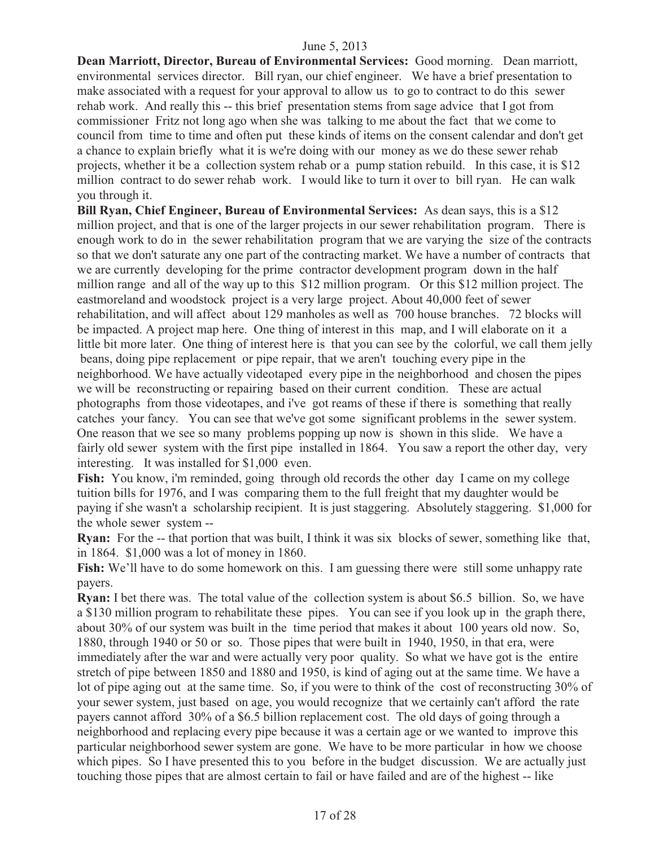**Dean Marriott, Director, Bureau of Environmental Services:** Good morning. Dean marriott, environmental services director. Bill ryan, our chief engineer. We have a brief presentation to make associated with a request for your approval to allow us to go to contract to do this sewer rehab work. And really this -- this brief presentation stems from sage advice that I got from commissioner Fritz not long ago when she was talking to me about the fact that we come to council from time to time and often put these kinds of items on the consent calendar and don't get a chance to explain briefly what it is we're doing with our money as we do these sewer rehab projects, whether it be a collection system rehab or a pump station rebuild. In this case, it is \$12 million contract to do sewer rehab work. I would like to turn it over to bill ryan. He can walk you through it.

**Bill Ryan, Chief Engineer, Bureau of Environmental Services:** As dean says, this is a \$12 million project, and that is one of the larger projects in our sewer rehabilitation program. There is enough work to do in the sewer rehabilitation program that we are varying the size of the contracts so that we don't saturate any one part of the contracting market. We have a number of contracts that we are currently developing for the prime contractor development program down in the half million range and all of the way up to this \$12 million program. Or this \$12 million project. The eastmoreland and woodstock project is a very large project. About 40,000 feet of sewer rehabilitation, and will affect about 129 manholes as well as 700 house branches. 72 blocks will be impacted. A project map here. One thing of interest in this map, and I will elaborate on it a little bit more later. One thing of interest here is that you can see by the colorful, we call them jelly beans, doing pipe replacement or pipe repair, that we aren't touching every pipe in the neighborhood. We have actually videotaped every pipe in the neighborhood and chosen the pipes we will be reconstructing or repairing based on their current condition. These are actual photographs from those videotapes, and i've got reams of these if there is something that really catches your fancy. You can see that we've got some significant problems in the sewer system. One reason that we see so many problems popping up now is shown in this slide. We have a fairly old sewer system with the first pipe installed in 1864. You saw a report the other day, very interesting. It was installed for \$1,000 even.

Fish: You know, i'm reminded, going through old records the other day I came on my college tuition bills for 1976, and I was comparing them to the full freight that my daughter would be paying if she wasn't a scholarship recipient. It is just staggering. Absolutely staggering. \$1,000 for the whole sewer system --

**Ryan:** For the -- that portion that was built, I think it was six blocks of sewer, something like that, in 1864. \$1,000 was a lot of money in 1860.

**Fish:** We'll have to do some homework on this.I am guessing there were still some unhappy rate payers.

**Ryan:** I bet there was. The total value of the collection system is about \$6.5 billion. So, we have a \$130 million program to rehabilitate these pipes. You can see if you look up in the graph there, about 30% of our system was built in the time period that makes it about 100 years old now. So, 1880, through 1940 or 50 or so. Those pipes that were built in 1940, 1950, in that era, were immediately after the war and were actually very poor quality. So what we have got is the entire stretch of pipe between 1850 and 1880 and 1950, is kind of aging out at the same time. We have a lot of pipe aging out at the same time. So, if you were to think of the cost of reconstructing 30% of your sewer system, just based on age, you would recognize that we certainly can't afford the rate payers cannot afford 30% of a \$6.5 billion replacement cost. The old days of going through a neighborhood and replacing every pipe because it was a certain age or we wanted to improve this particular neighborhood sewer system are gone. We have to be more particular in how we choose which pipes. So I have presented this to you before in the budget discussion. We are actually just touching those pipes that are almost certain to fail or have failed and are of the highest -- like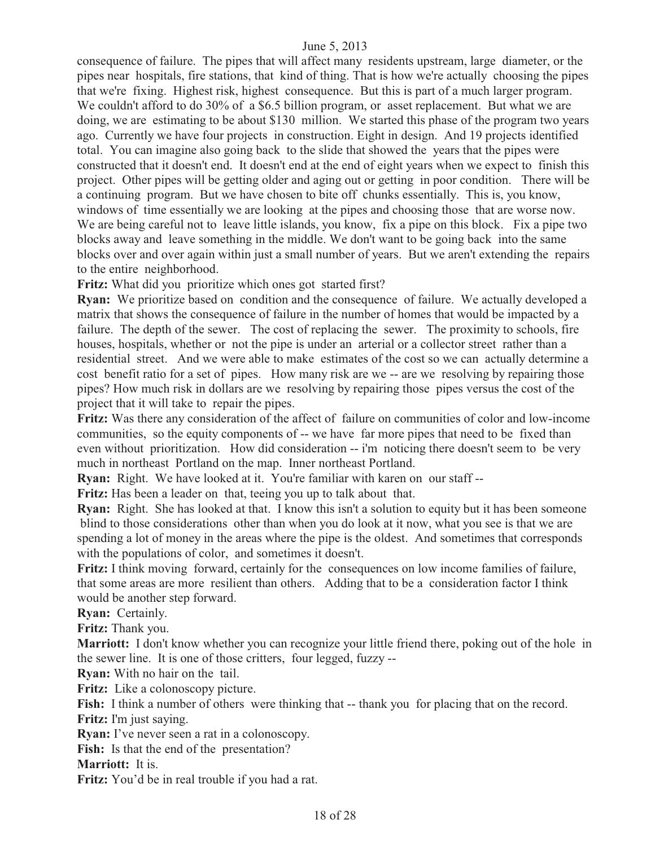consequence of failure. The pipes that will affect many residents upstream, large diameter, or the pipes near hospitals, fire stations, that kind of thing. That is how we're actually choosing the pipes that we're fixing. Highest risk, highest consequence. But this is part of a much larger program. We couldn't afford to do 30% of a \$6.5 billion program, or asset replacement. But what we are doing, we are estimating to be about \$130 million. We started this phase of the program two years ago. Currently we have four projects in construction. Eight in design. And 19 projects identified total. You can imagine also going back to the slide that showed the years that the pipes were constructed that it doesn't end. It doesn't end at the end of eight years when we expect to finish this project. Other pipes will be getting older and aging out or getting in poor condition. There will be a continuing program. But we have chosen to bite off chunks essentially. This is, you know, windows of time essentially we are looking at the pipes and choosing those that are worse now. We are being careful not to leave little islands, you know, fix a pipe on this block. Fix a pipe two blocks away and leave something in the middle. We don't want to be going back into the same blocks over and over again within just a small number of years. But we aren't extending the repairs to the entire neighborhood.

**Fritz:** What did you prioritize which ones got started first?

**Ryan:** We prioritize based on condition and the consequence of failure. We actually developed a matrix that shows the consequence of failure in the number of homes that would be impacted by a failure. The depth of the sewer. The cost of replacing the sewer. The proximity to schools, fire houses, hospitals, whether or not the pipe is under an arterial or a collector street rather than a residential street. And we were able to make estimates of the cost so we can actually determine a cost benefit ratio for a set of pipes. How many risk are we -- are we resolving by repairing those pipes? How much risk in dollars are we resolving by repairing those pipes versus the cost of the project that it will take to repair the pipes.

**Fritz:** Was there any consideration of the affect of failure on communities of color and low-income communities, so the equity components of -- we have far more pipes that need to be fixed than even without prioritization. How did consideration -- i'm noticing there doesn't seem to be very much in northeast Portland on the map. Inner northeast Portland.

**Ryan:** Right. We have looked at it. You're familiar with karen on our staff --

**Fritz:** Has been a leader on that, teeing you up to talk about that.

**Ryan:** Right. She has looked at that. I know this isn't a solution to equity but it has been someone blind to those considerations other than when you do look at it now, what you see is that we are spending a lot of money in the areas where the pipe is the oldest. And sometimes that corresponds with the populations of color, and sometimes it doesn't.

**Fritz:** I think moving forward, certainly for the consequences on low income families of failure, that some areas are more resilient than others. Adding that to be a consideration factor I think would be another step forward.

**Ryan:** Certainly.

**Fritz:** Thank you.

**Marriott:** I don't know whether you can recognize your little friend there, poking out of the hole in the sewer line. It is one of those critters, four legged, fuzzy --

**Ryan:** With no hair on the tail.

Fritz: Like a colonoscopy picture.

Fish: I think a number of others were thinking that -- thank you for placing that on the record. **Fritz:** I'm just saying.

**Ryan:** I've never seen a rat in a colonoscopy.

**Fish:** Is that the end of the presentation?

**Marriott:** It is.

**Fritz:** You'd be in real trouble if you had a rat.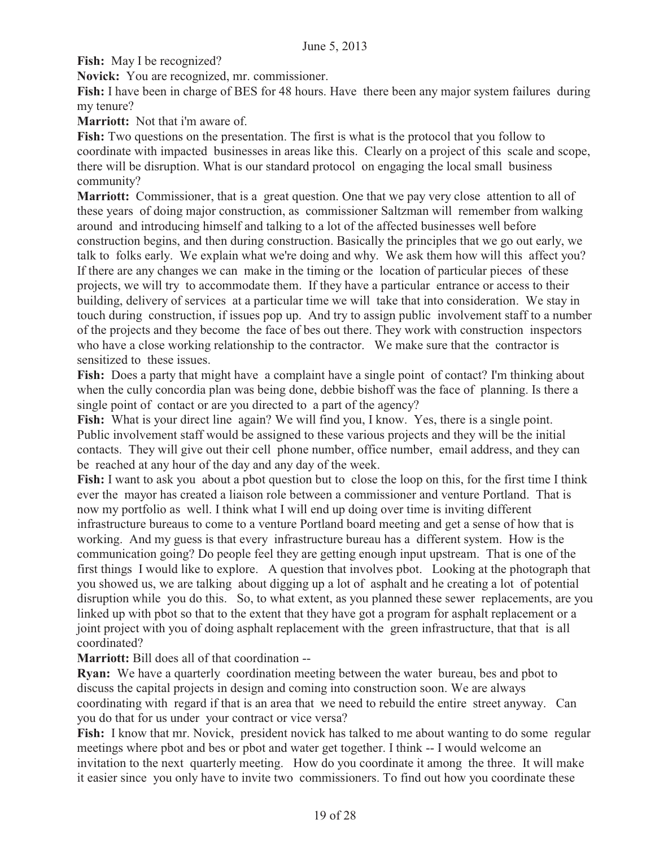**Fish:** May I be recognized?

**Novick:** You are recognized, mr. commissioner.

**Fish:** I have been in charge of BES for 48 hours. Have there been any major system failures during my tenure?

**Marriott:** Not that i'm aware of.

**Fish:** Two questions on the presentation. The first is what is the protocol that you follow to coordinate with impacted businesses in areas like this. Clearly on a project of this scale and scope, there will be disruption. What is our standard protocol on engaging the local small business community?

**Marriott:** Commissioner, that is a great question. One that we pay very close attention to all of these years of doing major construction, as commissioner Saltzman will remember from walking around and introducing himself and talking to a lot of the affected businesses well before construction begins, and then during construction. Basically the principles that we go out early, we talk to folks early. We explain what we're doing and why. We ask them how will this affect you? If there are any changes we can make in the timing or the location of particular pieces of these projects, we will try to accommodate them. If they have a particular entrance or access to their building, delivery of services at a particular time we will take that into consideration. We stay in touch during construction, if issues pop up. And try to assign public involvement staff to a number of the projects and they become the face of bes out there. They work with construction inspectors who have a close working relationship to the contractor. We make sure that the contractor is sensitized to these issues.

Fish: Does a party that might have a complaint have a single point of contact? I'm thinking about when the cully concordia plan was being done, debbie bishoff was the face of planning. Is there a single point of contact or are you directed to a part of the agency?

Fish: What is your direct line again? We will find you, I know. Yes, there is a single point. Public involvement staff would be assigned to these various projects and they will be the initial contacts. They will give out their cell phone number, office number, email address, and they can be reached at any hour of the day and any day of the week.

Fish: I want to ask you about a pbot question but to close the loop on this, for the first time I think ever the mayor has created a liaison role between a commissioner and venture Portland. That is now my portfolio as well. I think what I will end up doing over time is inviting different infrastructure bureaus to come to a venture Portland board meeting and get a sense of how that is working. And my guess is that every infrastructure bureau has a different system. How is the communication going? Do people feel they are getting enough input upstream. That is one of the first things I would like to explore. A question that involves pbot. Looking at the photograph that you showed us, we are talking about digging up a lot of asphalt and he creating a lot of potential disruption while you do this. So, to what extent, as you planned these sewer replacements, are you linked up with pbot so that to the extent that they have got a program for asphalt replacement or a joint project with you of doing asphalt replacement with the green infrastructure, that that is all coordinated?

**Marriott:** Bill does all of that coordination --

**Ryan:** We have a quarterly coordination meeting between the water bureau, bes and pbot to discuss the capital projects in design and coming into construction soon. We are always coordinating with regard if that is an area that we need to rebuild the entire street anyway. Can you do that for us under your contract or vice versa?

Fish: I know that mr. Novick, president novick has talked to me about wanting to do some regular meetings where pbot and bes or pbot and water get together. I think -- I would welcome an invitation to the next quarterly meeting. How do you coordinate it among the three. It will make it easier since you only have to invite two commissioners. To find out how you coordinate these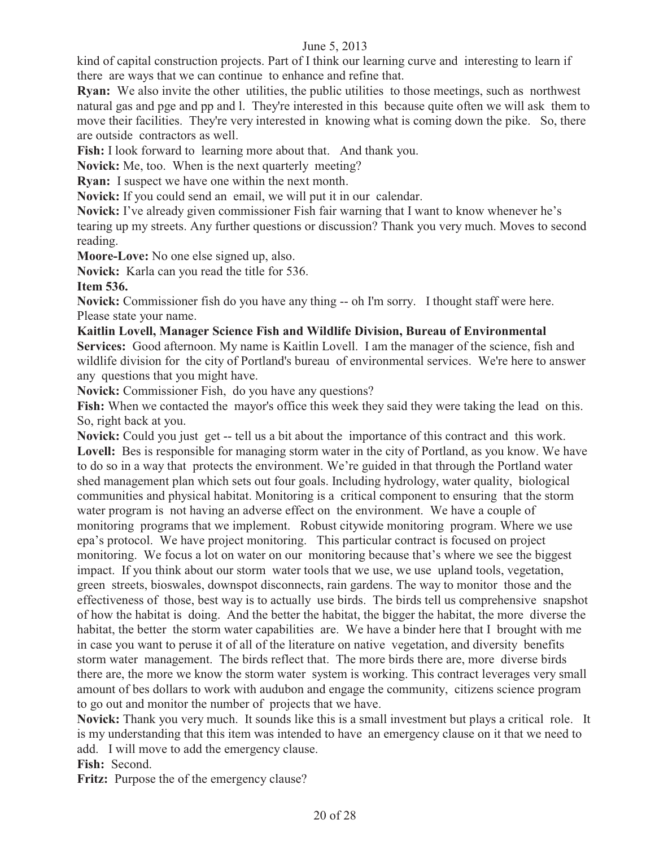kind of capital construction projects. Part of I think our learning curve and interesting to learn if there are ways that we can continue to enhance and refine that.

**Ryan:** We also invite the other utilities, the public utilities to those meetings, such as northwest natural gas and pge and pp and l. They're interested in this because quite often we will ask them to move their facilities. They're very interested in knowing what is coming down the pike. So, there are outside contractors as well.

**Fish:** I look forward to learning more about that. And thank you.

**Novick:** Me, too. When is the next quarterly meeting?

**Ryan:** I suspect we have one within the next month.

**Novick:** If you could send an email, we will put it in our calendar.

**Novick:** I've already given commissioner Fish fair warning that I want to know whenever he's tearing up my streets. Any further questions or discussion? Thank you very much. Moves to second reading.

**Moore-Love:** No one else signed up, also.

**Novick:** Karla can you read the title for 536.

**Item 536.** 

**Novick:** Commissioner fish do you have any thing -- oh I'm sorry. I thought staff were here. Please state your name.

#### **Kaitlin Lovell, Manager Science Fish and Wildlife Division, Bureau of Environmental**

**Services:** Good afternoon. My name is Kaitlin Lovell. I am the manager of the science, fish and wildlife division for the city of Portland's bureau of environmental services. We're here to answer any questions that you might have.

**Novick:** Commissioner Fish, do you have any questions?

Fish: When we contacted the mayor's office this week they said they were taking the lead on this. So, right back at you.

**Novick:** Could you just get -- tell us a bit about the importance of this contract and this work. Lovell: Bes is responsible for managing storm water in the city of Portland, as you know. We have to do so in a way that protects the environment. We're guided in that through the Portland water shed management plan which sets out four goals. Including hydrology, water quality, biological communities and physical habitat. Monitoring is a critical component to ensuring that the storm water program is not having an adverse effect on the environment. We have a couple of monitoring programs that we implement. Robust citywide monitoring program. Where we use epa's protocol. We have project monitoring. This particular contract is focused on project monitoring. We focus a lot on water on our monitoring because that's where we see the biggest impact. If you think about our storm water tools that we use, we use upland tools, vegetation, green streets, bioswales, downspot disconnects, rain gardens. The way to monitor those and the effectiveness of those, best way is to actually use birds. The birds tell us comprehensive snapshot of how the habitat is doing. And the better the habitat, the bigger the habitat, the more diverse the habitat, the better the storm water capabilities are. We have a binder here that I brought with me in case you want to peruse it of all of the literature on native vegetation, and diversity benefits storm water management. The birds reflect that. The more birds there are, more diverse birds there are, the more we know the storm water system is working. This contract leverages very small amount of bes dollars to work with audubon and engage the community, citizens science program to go out and monitor the number of projects that we have.

**Novick:** Thank you very much. It sounds like this is a small investment but plays a critical role. It is my understanding that this item was intended to have an emergency clause on it that we need to add. I will move to add the emergency clause.

**Fish:** Second.

**Fritz:** Purpose the of the emergency clause?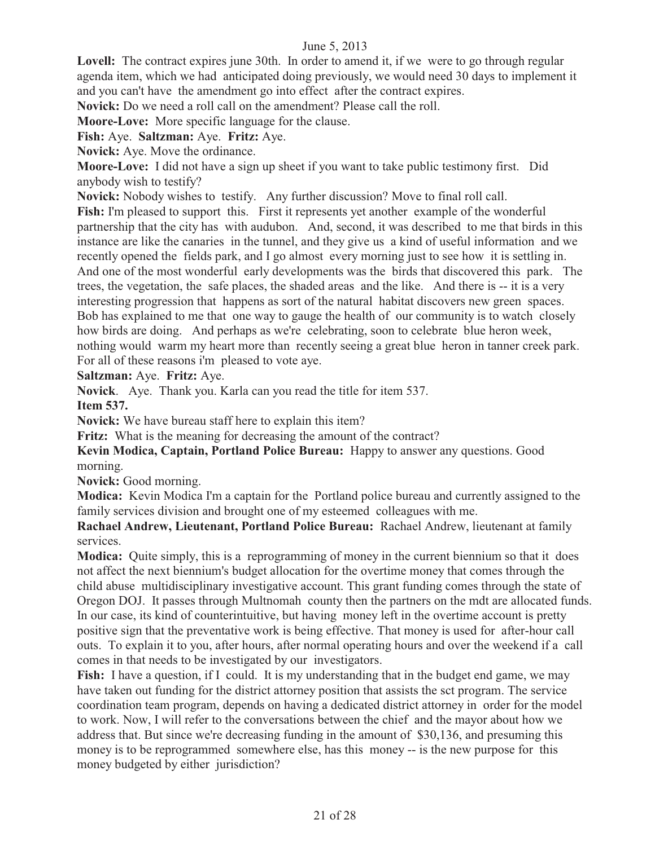Lovell: The contract expires june 30th. In order to amend it, if we were to go through regular agenda item, which we had anticipated doing previously, we would need 30 days to implement it and you can't have the amendment go into effect after the contract expires.

**Novick:** Do we need a roll call on the amendment? Please call the roll.

**Moore-Love:** More specific language for the clause.

**Fish:** Aye. **Saltzman:** Aye. **Fritz:** Aye.

**Novick:** Aye. Move the ordinance.

**Moore-Love:** I did not have a sign up sheet if you want to take public testimony first. Did anybody wish to testify?

**Novick:** Nobody wishes to testify. Any further discussion? Move to final roll call.

**Fish:** I'm pleased to support this. First it represents yet another example of the wonderful partnership that the city has with audubon. And, second, it was described to me that birds in this instance are like the canaries in the tunnel, and they give us a kind of useful information and we recently opened the fields park, and I go almost every morning just to see how it is settling in. And one of the most wonderful early developments was the birds that discovered this park. The trees, the vegetation, the safe places, the shaded areas and the like. And there is -- it is a very interesting progression that happens as sort of the natural habitat discovers new green spaces. Bob has explained to me that one way to gauge the health of our community is to watch closely how birds are doing. And perhaps as we're celebrating, soon to celebrate blue heron week, nothing would warm my heart more than recently seeing a great blue heron in tanner creek park. For all of these reasons i'm pleased to vote aye.

**Saltzman:** Aye. **Fritz:** Aye.

**Novick**. Aye. Thank you. Karla can you read the title for item 537.

**Item 537.** 

**Novick:** We have bureau staff here to explain this item?

**Fritz:** What is the meaning for decreasing the amount of the contract?

**Kevin Modica, Captain, Portland Police Bureau:** Happy to answer any questions. Good morning.

Novick: Good morning.

**Modica:** Kevin Modica I'm a captain for the Portland police bureau and currently assigned to the family services division and brought one of my esteemed colleagues with me.

**Rachael Andrew, Lieutenant, Portland Police Bureau:** Rachael Andrew, lieutenant at family services.

**Modica:** Ouite simply, this is a reprogramming of money in the current biennium so that it does not affect the next biennium's budget allocation for the overtime money that comes through the child abuse multidisciplinary investigative account. This grant funding comes through the state of Oregon DOJ. It passes through Multnomah county then the partners on the mdt are allocated funds. In our case, its kind of counterintuitive, but having money left in the overtime account is pretty positive sign that the preventative work is being effective. That money is used for after-hour call outs. To explain it to you, after hours, after normal operating hours and over the weekend if a call comes in that needs to be investigated by our investigators.

Fish: I have a question, if I could. It is my understanding that in the budget end game, we may have taken out funding for the district attorney position that assists the sct program. The service coordination team program, depends on having a dedicated district attorney in order for the model to work. Now, I will refer to the conversations between the chief and the mayor about how we address that. But since we're decreasing funding in the amount of \$30,136, and presuming this money is to be reprogrammed somewhere else, has this money -- is the new purpose for this money budgeted by either jurisdiction?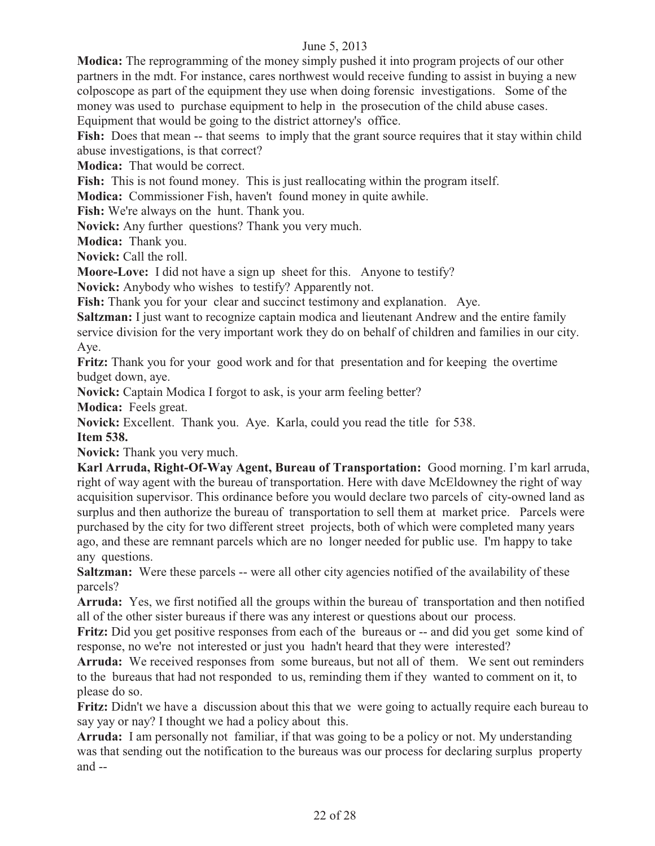**Modica:** The reprogramming of the money simply pushed it into program projects of our other partners in the mdt. For instance, cares northwest would receive funding to assist in buying a new colposcope as part of the equipment they use when doing forensic investigations. Some of the money was used to purchase equipment to help in the prosecution of the child abuse cases. Equipment that would be going to the district attorney's office.

Fish: Does that mean -- that seems to imply that the grant source requires that it stay within child abuse investigations, is that correct?

**Modica:** That would be correct.

Fish: This is not found money. This is just reallocating within the program itself.

**Modica:** Commissioner Fish, haven't found money in quite awhile.

Fish: We're always on the hunt. Thank you.

**Novick:** Any further questions? Thank you very much.

**Modica:** Thank you.

**Novick:** Call the roll.

**Moore-Love:** I did not have a sign up sheet for this. Anyone to testify?

**Novick:** Anybody who wishes to testify? Apparently not.

**Fish:** Thank you for your clear and succinct testimony and explanation. Aye.

**Saltzman:** I just want to recognize captain modica and lieutenant Andrew and the entire family service division for the very important work they do on behalf of children and families in our city. Aye.

**Fritz:** Thank you for your good work and for that presentation and for keeping the overtime budget down, aye.

**Novick:** Captain Modica I forgot to ask, is your arm feeling better?

**Modica:** Feels great.

**Novick:** Excellent. Thank you. Aye. Karla, could you read the title for 538. **Item 538.** 

**Novick:** Thank you very much.

**Karl Arruda, Right-Of-Way Agent, Bureau of Transportation:** Good morning. I'm karl arruda, right of way agent with the bureau of transportation. Here with dave McEldowney the right of way acquisition supervisor. This ordinance before you would declare two parcels of city-owned land as surplus and then authorize the bureau of transportation to sell them at market price. Parcels were purchased by the city for two different street projects, both of which were completed many years ago, and these are remnant parcels which are no longer needed for public use. I'm happy to take any questions.

**Saltzman:** Were these parcels -- were all other city agencies notified of the availability of these parcels?

**Arruda:** Yes, we first notified all the groups within the bureau of transportation and then notified all of the other sister bureaus if there was any interest or questions about our process.

**Fritz:** Did you get positive responses from each of the bureaus or -- and did you get some kind of response, no we're not interested or just you hadn't heard that they were interested?

**Arruda:** We received responses from some bureaus, but not all of them. We sent out reminders to the bureaus that had not responded to us, reminding them if they wanted to comment on it, to please do so.

**Fritz:** Didn't we have a discussion about this that we were going to actually require each bureau to say yay or nay? I thought we had a policy about this.

**Arruda:** I am personally not familiar, if that was going to be a policy or not. My understanding was that sending out the notification to the bureaus was our process for declaring surplus property and --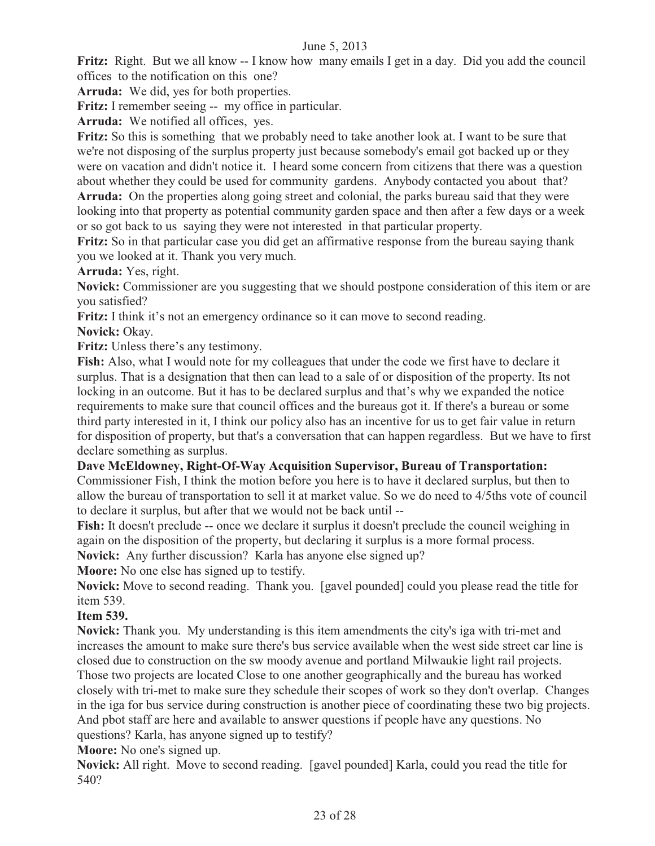**Fritz:** Right. But we all know -- I know how many emails I get in a day. Did you add the council offices to the notification on this one?

**Arruda:** We did, yes for both properties.

**Fritz:** I remember seeing -- my office in particular.

**Arruda:** We notified all offices, yes.

**Fritz:** So this is something that we probably need to take another look at. I want to be sure that we're not disposing of the surplus property just because somebody's email got backed up or they were on vacation and didn't notice it. I heard some concern from citizens that there was a question about whether they could be used for community gardens. Anybody contacted you about that?

**Arruda:** On the properties along going street and colonial, the parks bureau said that they were looking into that property as potential community garden space and then after a few days or a week or so got back to us saying they were not interested in that particular property.

**Fritz:** So in that particular case you did get an affirmative response from the bureau saying thank you we looked at it. Thank you very much.

**Arruda:** Yes, right.

**Novick:** Commissioner are you suggesting that we should postpone consideration of this item or are you satisfied?

Fritz: I think it's not an emergency ordinance so it can move to second reading.

**Novick:** Okay.

Fritz: Unless there's any testimony.

**Fish:** Also, what I would note for my colleagues that under the code we first have to declare it surplus. That is a designation that then can lead to a sale of or disposition of the property. Its not locking in an outcome. But it has to be declared surplus and that's why we expanded the notice requirements to make sure that council offices and the bureaus got it. If there's a bureau or some third party interested in it, I think our policy also has an incentive for us to get fair value in return for disposition of property, but that's a conversation that can happen regardless. But we have to first declare something as surplus.

#### **Dave McEldowney, Right-Of-Way Acquisition Supervisor, Bureau of Transportation:**

Commissioner Fish, I think the motion before you here is to have it declared surplus, but then to allow the bureau of transportation to sell it at market value. So we do need to 4/5ths vote of council to declare it surplus, but after that we would not be back until --

**Fish:** It doesn't preclude -- once we declare it surplus it doesn't preclude the council weighing in again on the disposition of the property, but declaring it surplus is a more formal process.

**Novick:** Any further discussion?Karla has anyone else signed up?

**Moore:** No one else has signed up to testify.

**Novick:** Move to second reading. Thank you. [gavel pounded] could you please read the title for item 539.

#### **Item 539.**

**Novick:** Thank you. My understanding is this item amendments the city's iga with tri-met and increases the amount to make sure there's bus service available when the west side street car line is closed due to construction on the sw moody avenue and portland Milwaukie light rail projects. Those two projects are located Close to one another geographically and the bureau has worked closely with tri-met to make sure they schedule their scopes of work so they don't overlap. Changes in the iga for bus service during construction is another piece of coordinating these two big projects. And pbot staff are here and available to answer questions if people have any questions. No questions? Karla, has anyone signed up to testify?

**Moore:** No one's signed up.

**Novick:** All right. Move to second reading. [gavel pounded] Karla, could you read the title for 540?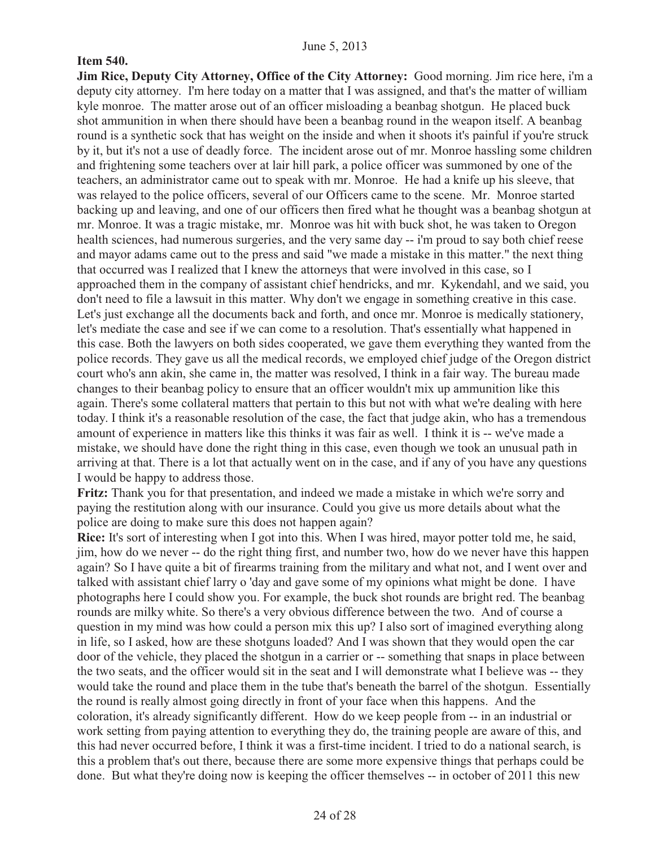#### **Item 540.**

**Jim Rice, Deputy City Attorney, Office of the City Attorney:** Good morning. Jim rice here, i'm a deputy city attorney. I'm here today on a matter that I was assigned, and that's the matter of william kyle monroe. The matter arose out of an officer misloading a beanbag shotgun. He placed buck shot ammunition in when there should have been a beanbag round in the weapon itself. A beanbag round is a synthetic sock that has weight on the inside and when it shoots it's painful if you're struck by it, but it's not a use of deadly force. The incident arose out of mr. Monroe hassling some children and frightening some teachers over at lair hill park, a police officer was summoned by one of the teachers, an administrator came out to speak with mr. Monroe. He had a knife up his sleeve, that was relayed to the police officers, several of our Officers came to the scene. Mr. Monroe started backing up and leaving, and one of our officers then fired what he thought was a beanbag shotgun at mr. Monroe. It was a tragic mistake, mr. Monroe was hit with buck shot, he was taken to Oregon health sciences, had numerous surgeries, and the very same day -- i'm proud to say both chief reese and mayor adams came out to the press and said "we made a mistake in this matter." the next thing that occurred was I realized that I knew the attorneys that were involved in this case, so I approached them in the company of assistant chief hendricks, and mr. Kykendahl, and we said, you don't need to file a lawsuit in this matter. Why don't we engage in something creative in this case. Let's just exchange all the documents back and forth, and once mr. Monroe is medically stationery, let's mediate the case and see if we can come to a resolution. That's essentially what happened in this case. Both the lawyers on both sides cooperated, we gave them everything they wanted from the police records. They gave us all the medical records, we employed chief judge of the Oregon district court who's ann akin, she came in, the matter was resolved, I think in a fair way. The bureau made changes to their beanbag policy to ensure that an officer wouldn't mix up ammunition like this again. There's some collateral matters that pertain to this but not with what we're dealing with here today. I think it's a reasonable resolution of the case, the fact that judge akin, who has a tremendous amount of experience in matters like this thinks it was fair as well. I think it is -- we've made a mistake, we should have done the right thing in this case, even though we took an unusual path in arriving at that. There is a lot that actually went on in the case, and if any of you have any questions I would be happy to address those.

**Fritz:** Thank you for that presentation, and indeed we made a mistake in which we're sorry and paying the restitution along with our insurance. Could you give us more details about what the police are doing to make sure this does not happen again?

**Rice:** It's sort of interesting when I got into this. When I was hired, mayor potter told me, he said, jim, how do we never -- do the right thing first, and number two, how do we never have this happen again? So I have quite a bit of firearms training from the military and what not, and I went over and talked with assistant chief larry o 'day and gave some of my opinions what might be done. I have photographs here I could show you. For example, the buck shot rounds are bright red. The beanbag rounds are milky white. So there's a very obvious difference between the two. And of course a question in my mind was how could a person mix this up? I also sort of imagined everything along in life, so I asked, how are these shotguns loaded? And I was shown that they would open the car door of the vehicle, they placed the shotgun in a carrier or -- something that snaps in place between the two seats, and the officer would sit in the seat and I will demonstrate what I believe was -- they would take the round and place them in the tube that's beneath the barrel of the shotgun. Essentially the round is really almost going directly in front of your face when this happens. And the coloration, it's already significantly different. How do we keep people from -- in an industrial or work setting from paying attention to everything they do, the training people are aware of this, and this had never occurred before, I think it was a first-time incident. I tried to do a national search, is this a problem that's out there, because there are some more expensive things that perhaps could be done. But what they're doing now is keeping the officer themselves -- in october of 2011 this new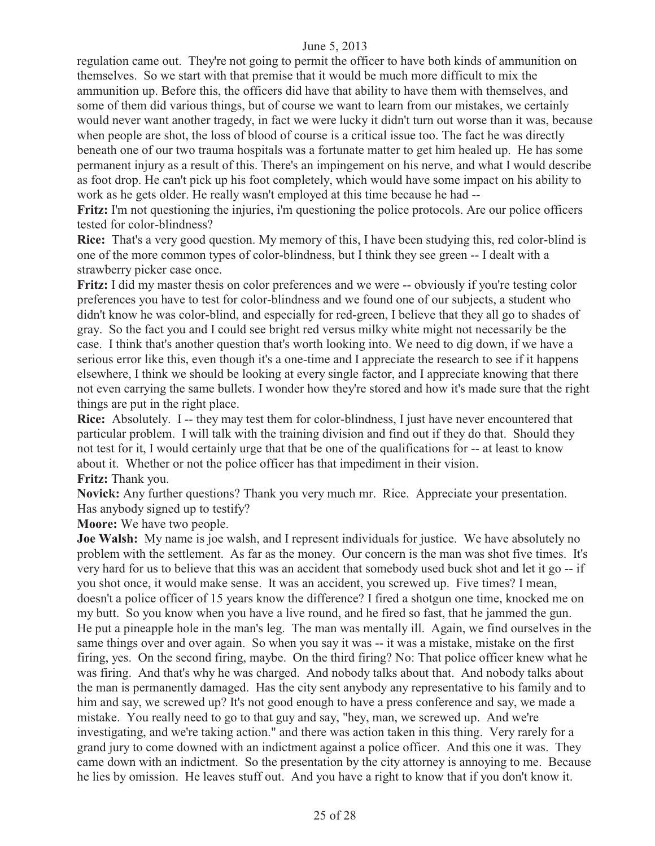regulation came out. They're not going to permit the officer to have both kinds of ammunition on themselves. So we start with that premise that it would be much more difficult to mix the ammunition up. Before this, the officers did have that ability to have them with themselves, and some of them did various things, but of course we want to learn from our mistakes, we certainly would never want another tragedy, in fact we were lucky it didn't turn out worse than it was, because when people are shot, the loss of blood of course is a critical issue too. The fact he was directly beneath one of our two trauma hospitals was a fortunate matter to get him healed up. He has some permanent injury as a result of this. There's an impingement on his nerve, and what I would describe as foot drop. He can't pick up his foot completely, which would have some impact on his ability to work as he gets older. He really wasn't employed at this time because he had --

**Fritz:** I'm not questioning the injuries, i'm questioning the police protocols. Are our police officers tested for color-blindness?

**Rice:** That's a very good question. My memory of this, I have been studying this, red color-blind is one of the more common types of color-blindness, but I think they see green -- I dealt with a strawberry picker case once.

Fritz: I did my master thesis on color preferences and we were -- obviously if you're testing color preferences you have to test for color-blindness and we found one of our subjects, a student who didn't know he was color-blind, and especially for red-green, I believe that they all go to shades of gray. So the fact you and I could see bright red versus milky white might not necessarily be the case. I think that's another question that's worth looking into. We need to dig down, if we have a serious error like this, even though it's a one-time and I appreciate the research to see if it happens elsewhere, I think we should be looking at every single factor, and I appreciate knowing that there not even carrying the same bullets. I wonder how they're stored and how it's made sure that the right things are put in the right place.

**Rice:** Absolutely. I -- they may test them for color-blindness, I just have never encountered that particular problem. I will talk with the training division and find out if they do that. Should they not test for it, I would certainly urge that that be one of the qualifications for -- at least to know about it. Whether or not the police officer has that impediment in their vision. **Fritz:** Thank you.

**Novick:** Any further questions? Thank you very much mr. Rice. Appreciate your presentation. Has anybody signed up to testify?

**Moore:** We have two people.

**Joe Walsh:** My name is joe walsh, and I represent individuals for justice. We have absolutely no problem with the settlement. As far as the money. Our concern is the man was shot five times. It's very hard for us to believe that this was an accident that somebody used buck shot and let it go -- if you shot once, it would make sense. It was an accident, you screwed up. Five times? I mean, doesn't a police officer of 15 years know the difference? I fired a shotgun one time, knocked me on my butt. So you know when you have a live round, and he fired so fast, that he jammed the gun. He put a pineapple hole in the man's leg. The man was mentally ill. Again, we find ourselves in the same things over and over again. So when you say it was -- it was a mistake, mistake on the first firing, yes. On the second firing, maybe. On the third firing? No: That police officer knew what he was firing. And that's why he was charged. And nobody talks about that. And nobody talks about the man is permanently damaged. Has the city sent anybody any representative to his family and to him and say, we screwed up? It's not good enough to have a press conference and say, we made a mistake. You really need to go to that guy and say, "hey, man, we screwed up. And we're investigating, and we're taking action." and there was action taken in this thing. Very rarely for a grand jury to come downed with an indictment against a police officer. And this one it was. They came down with an indictment. So the presentation by the city attorney is annoying to me. Because he lies by omission. He leaves stuff out. And you have a right to know that if you don't know it.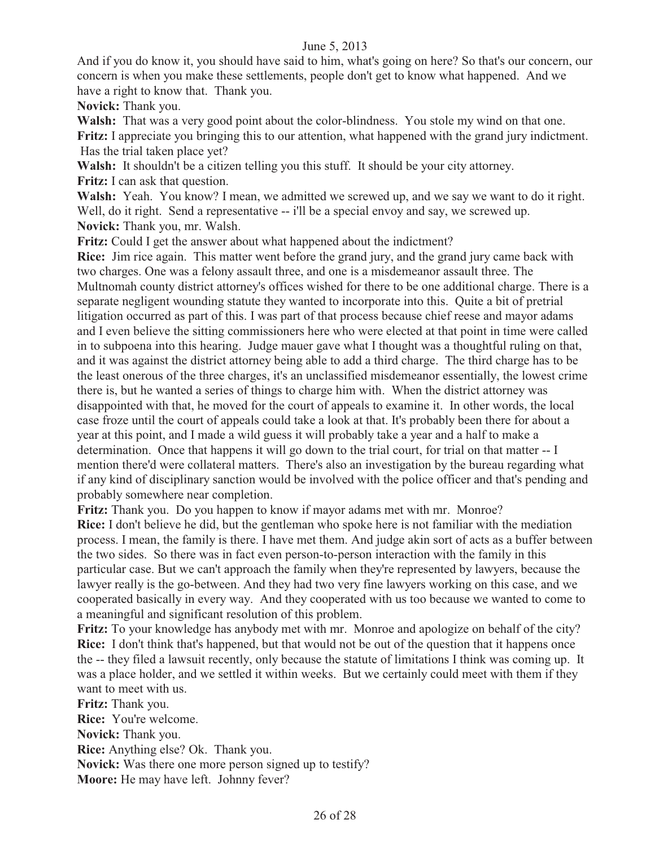And if you do know it, you should have said to him, what's going on here? So that's our concern, our concern is when you make these settlements, people don't get to know what happened. And we have a right to know that. Thank you.

**Novick:** Thank you.

**Walsh:** That was a very good point about the color-blindness. You stole my wind on that one. **Fritz:** I appreciate you bringing this to our attention, what happened with the grand jury indictment. Has the trial taken place yet?

**Walsh:** It shouldn't be a citizen telling you this stuff. It should be your city attorney. **Fritz:** I can ask that question.

**Walsh:** Yeah. You know? I mean, we admitted we screwed up, and we say we want to do it right. Well, do it right. Send a representative -- i'll be a special envoy and say, we screwed up. **Novick:** Thank you, mr. Walsh.

**Fritz:** Could I get the answer about what happened about the indictment?

**Rice:** Jim rice again. This matter went before the grand jury, and the grand jury came back with two charges. One was a felony assault three, and one is a misdemeanor assault three. The Multnomah county district attorney's offices wished for there to be one additional charge. There is a separate negligent wounding statute they wanted to incorporate into this. Quite a bit of pretrial litigation occurred as part of this. I was part of that process because chief reese and mayor adams and I even believe the sitting commissioners here who were elected at that point in time were called in to subpoena into this hearing. Judge mauer gave what I thought was a thoughtful ruling on that, and it was against the district attorney being able to add a third charge. The third charge has to be the least onerous of the three charges, it's an unclassified misdemeanor essentially, the lowest crime there is, but he wanted a series of things to charge him with. When the district attorney was disappointed with that, he moved for the court of appeals to examine it. In other words, the local case froze until the court of appeals could take a look at that. It's probably been there for about a year at this point, and I made a wild guess it will probably take a year and a half to make a determination. Once that happens it will go down to the trial court, for trial on that matter -- I mention there'd were collateral matters. There's also an investigation by the bureau regarding what if any kind of disciplinary sanction would be involved with the police officer and that's pending and probably somewhere near completion.

**Fritz:** Thank you. Do you happen to know if mayor adams met with mr. Monroe?

**Rice:** I don't believe he did, but the gentleman who spoke here is not familiar with the mediation process. I mean, the family is there. I have met them. And judge akin sort of acts as a buffer between the two sides. So there was in fact even person-to-person interaction with the family in this particular case. But we can't approach the family when they're represented by lawyers, because the lawyer really is the go-between. And they had two very fine lawyers working on this case, and we cooperated basically in every way. And they cooperated with us too because we wanted to come to a meaningful and significant resolution of this problem.

**Fritz:** To your knowledge has anybody met with mr. Monroe and apologize on behalf of the city? **Rice:** I don't think that's happened, but that would not be out of the question that it happens once the -- they filed a lawsuit recently, only because the statute of limitations I think was coming up. It was a place holder, and we settled it within weeks. But we certainly could meet with them if they want to meet with us.

**Fritz:** Thank you. **Rice:** You're welcome. **Novick:** Thank you. **Rice:** Anything else? Ok. Thank you. **Novick:** Was there one more person signed up to testify? **Moore:** He may have left. Johnny fever?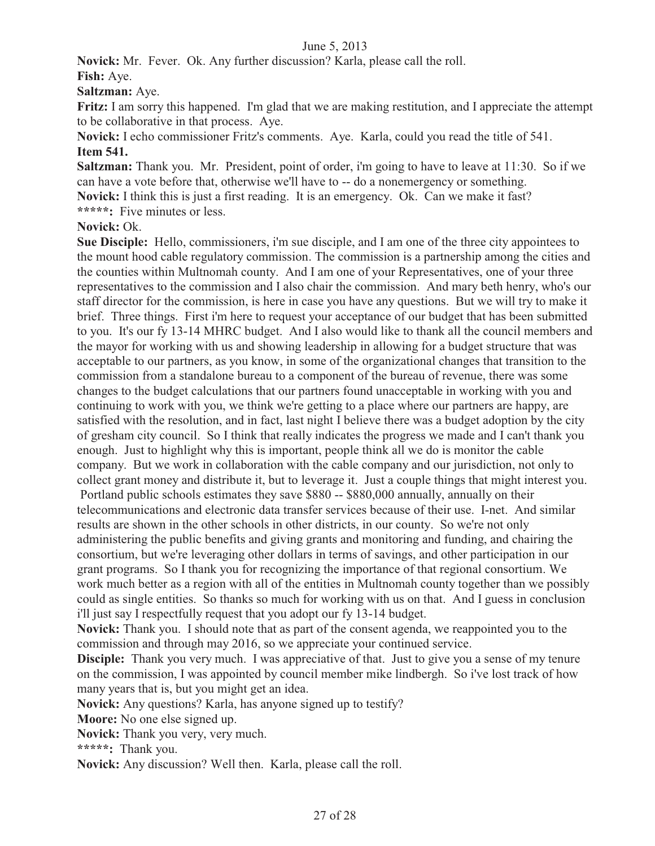**Novick:** Mr. Fever. Ok. Any further discussion? Karla, please call the roll.

**Fish:** Aye.

**Saltzman:** Aye.

**Fritz:** I am sorry this happened. I'm glad that we are making restitution, and I appreciate the attempt to be collaborative in that process. Aye.

**Novick:** I echo commissioner Fritz's comments. Aye. Karla, could you read the title of 541. **Item 541.** 

**Saltzman:** Thank you. Mr. President, point of order, i'm going to have to leave at 11:30. So if we can have a vote before that, otherwise we'll have to -- do a nonemergency or something. **Novick:** I think this is just a first reading. It is an emergency. Ok. Can we make it fast? **\*\*\*\*\*:** Five minutes or less.

#### **Novick:** Ok.

**Sue Disciple:** Hello, commissioners, i'm sue disciple, and I am one of the three city appointees to the mount hood cable regulatory commission. The commission is a partnership among the cities and the counties within Multnomah county. And I am one of your Representatives, one of your three representatives to the commission and I also chair the commission. And mary beth henry, who's our staff director for the commission, is here in case you have any questions. But we will try to make it brief. Three things. First i'm here to request your acceptance of our budget that has been submitted to you. It's our fy 13-14 MHRC budget. And I also would like to thank all the council members and the mayor for working with us and showing leadership in allowing for a budget structure that was acceptable to our partners, as you know, in some of the organizational changes that transition to the commission from a standalone bureau to a component of the bureau of revenue, there was some changes to the budget calculations that our partners found unacceptable in working with you and continuing to work with you, we think we're getting to a place where our partners are happy, are satisfied with the resolution, and in fact, last night I believe there was a budget adoption by the city of gresham city council. So I think that really indicates the progress we made and I can't thank you enough. Just to highlight why this is important, people think all we do is monitor the cable company. But we work in collaboration with the cable company and our jurisdiction, not only to collect grant money and distribute it, but to leverage it. Just a couple things that might interest you. Portland public schools estimates they save \$880 -- \$880,000 annually, annually on their telecommunications and electronic data transfer services because of their use. I-net. And similar results are shown in the other schools in other districts, in our county. So we're not only administering the public benefits and giving grants and monitoring and funding, and chairing the consortium, but we're leveraging other dollars in terms of savings, and other participation in our grant programs. So I thank you for recognizing the importance of that regional consortium. We work much better as a region with all of the entities in Multnomah county together than we possibly could as single entities. So thanks so much for working with us on that. And I guess in conclusion i'll just say I respectfully request that you adopt our fy 13-14 budget.

**Novick:** Thank you. I should note that as part of the consent agenda, we reappointed you to the commission and through may 2016, so we appreciate your continued service.

**Disciple:** Thank you very much. I was appreciative of that. Just to give you a sense of my tenure on the commission, I was appointed by council member mike lindbergh. So i've lost track of how many years that is, but you might get an idea.

**Novick:** Any questions? Karla, has anyone signed up to testify?

**Moore:** No one else signed up.

**Novick:** Thank you very, very much.

**\*\*\*\*\*:** Thank you.

**Novick:** Any discussion? Well then. Karla, please call the roll.